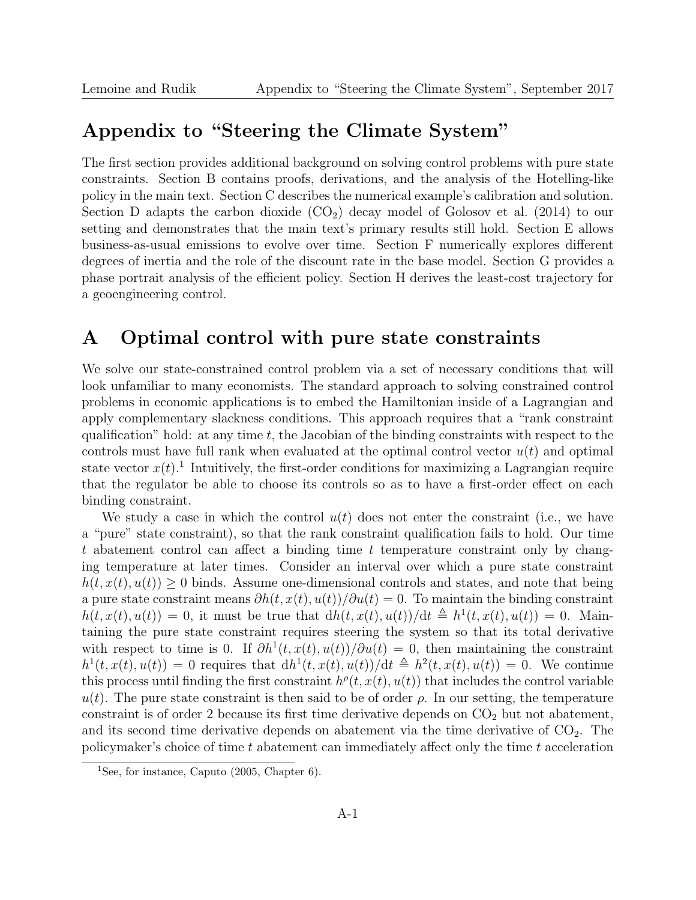## Appendix to "Steering the Climate System"

The first section provides additional background on solving control problems with pure state constraints. Section B contains proofs, derivations, and the analysis of the Hotelling-like policy in the main text. Section C describes the numerical example's calibration and solution. Section D adapts the carbon dioxide  $(CO_2)$  decay model of Golosov et al. (2014) to our setting and demonstrates that the main text's primary results still hold. Section E allows business-as-usual emissions to evolve over time. Section F numerically explores different degrees of inertia and the role of the discount rate in the base model. Section G provides a phase portrait analysis of the efficient policy. Section H derives the least-cost trajectory for a geoengineering control.

### A Optimal control with pure state constraints

We solve our state-constrained control problem via a set of necessary conditions that will look unfamiliar to many economists. The standard approach to solving constrained control problems in economic applications is to embed the Hamiltonian inside of a Lagrangian and apply complementary slackness conditions. This approach requires that a "rank constraint qualification" hold: at any time  $t$ , the Jacobian of the binding constraints with respect to the controls must have full rank when evaluated at the optimal control vector  $u(t)$  and optimal state vector  $x(t)$ .<sup>1</sup> Intuitively, the first-order conditions for maximizing a Lagrangian require that the regulator be able to choose its controls so as to have a first-order effect on each binding constraint.

We study a case in which the control  $u(t)$  does not enter the constraint (i.e., we have a "pure" state constraint), so that the rank constraint qualification fails to hold. Our time t abatement control can affect a binding time t temperature constraint only by changing temperature at later times. Consider an interval over which a pure state constraint  $h(t, x(t), u(t)) \geq 0$  binds. Assume one-dimensional controls and states, and note that being a pure state constraint means  $\partial h(t, x(t), u(t))/\partial u(t) = 0$ . To maintain the binding constraint  $h(t, x(t), u(t)) = 0$ , it must be true that  $dh(t, x(t), u(t))/dt \triangleq h^1(t, x(t), u(t)) = 0$ . Maintaining the pure state constraint requires steering the system so that its total derivative with respect to time is 0. If  $\partial h^1(t, x(t), u(t))/\partial u(t) = 0$ , then maintaining the constraint  $h^1(t, x(t), u(t)) = 0$  requires that  $dh^1(t, x(t), u(t))/dt \triangleq h^2(t, x(t), u(t)) = 0$ . We continue this process until finding the first constraint  $h^{\rho}(t, x(t), u(t))$  that includes the control variable  $u(t)$ . The pure state constraint is then said to be of order  $\rho$ . In our setting, the temperature constraint is of order 2 because its first time derivative depends on  $CO<sub>2</sub>$  but not abatement, and its second time derivative depends on abatement via the time derivative of  $CO<sub>2</sub>$ . The policymaker's choice of time  $t$  abatement can immediately affect only the time  $t$  acceleration

<sup>1</sup>See, for instance, Caputo (2005, Chapter 6).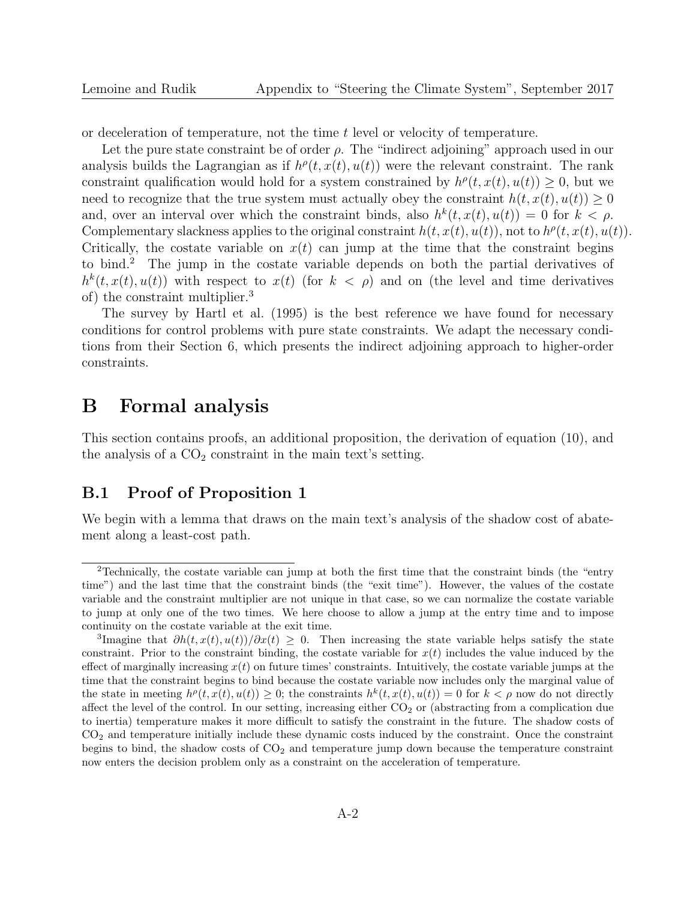or deceleration of temperature, not the time t level or velocity of temperature.

Let the pure state constraint be of order  $\rho$ . The "indirect adjoining" approach used in our analysis builds the Lagrangian as if  $h^{\rho}(t, x(t), u(t))$  were the relevant constraint. The rank constraint qualification would hold for a system constrained by  $h^{\rho}(t, x(t), u(t)) \geq 0$ , but we need to recognize that the true system must actually obey the constraint  $h(t, x(t), u(t)) \geq 0$ and, over an interval over which the constraint binds, also  $h^k(t, x(t), u(t)) = 0$  for  $k < \rho$ . Complementary slackness applies to the original constraint  $h(t, x(t), u(t))$ , not to  $h^{\rho}(t, x(t), u(t))$ . Critically, the costate variable on  $x(t)$  can jump at the time that the constraint begins to bind.<sup>2</sup> The jump in the costate variable depends on both the partial derivatives of  $h^{k}(t, x(t), u(t))$  with respect to  $x(t)$  (for  $k < \rho$ ) and on (the level and time derivatives of) the constraint multiplier.<sup>3</sup>

The survey by Hartl et al. (1995) is the best reference we have found for necessary conditions for control problems with pure state constraints. We adapt the necessary conditions from their Section 6, which presents the indirect adjoining approach to higher-order constraints.

### B Formal analysis

This section contains proofs, an additional proposition, the derivation of equation (10), and the analysis of a  $CO<sub>2</sub>$  constraint in the main text's setting.

### B.1 Proof of Proposition 1

We begin with a lemma that draws on the main text's analysis of the shadow cost of abatement along a least-cost path.

<sup>2</sup>Technically, the costate variable can jump at both the first time that the constraint binds (the "entry time") and the last time that the constraint binds (the "exit time"). However, the values of the costate variable and the constraint multiplier are not unique in that case, so we can normalize the costate variable to jump at only one of the two times. We here choose to allow a jump at the entry time and to impose continuity on the costate variable at the exit time.

<sup>&</sup>lt;sup>3</sup>Imagine that  $\partial h(t, x(t), u(t))/\partial x(t) \geq 0$ . Then increasing the state variable helps satisfy the state constraint. Prior to the constraint binding, the costate variable for  $x(t)$  includes the value induced by the effect of marginally increasing  $x(t)$  on future times' constraints. Intuitively, the costate variable jumps at the time that the constraint begins to bind because the costate variable now includes only the marginal value of the state in meeting  $h^{\rho}(t, x(t), u(t)) \geq 0$ ; the constraints  $h^{k}(t, x(t), u(t)) = 0$  for  $k < \rho$  now do not directly affect the level of the control. In our setting, increasing either  $CO<sub>2</sub>$  or (abstracting from a complication due to inertia) temperature makes it more difficult to satisfy the constraint in the future. The shadow costs of  $CO<sub>2</sub>$  and temperature initially include these dynamic costs induced by the constraint. Once the constraint begins to bind, the shadow costs of  $CO<sub>2</sub>$  and temperature jump down because the temperature constraint now enters the decision problem only as a constraint on the acceleration of temperature.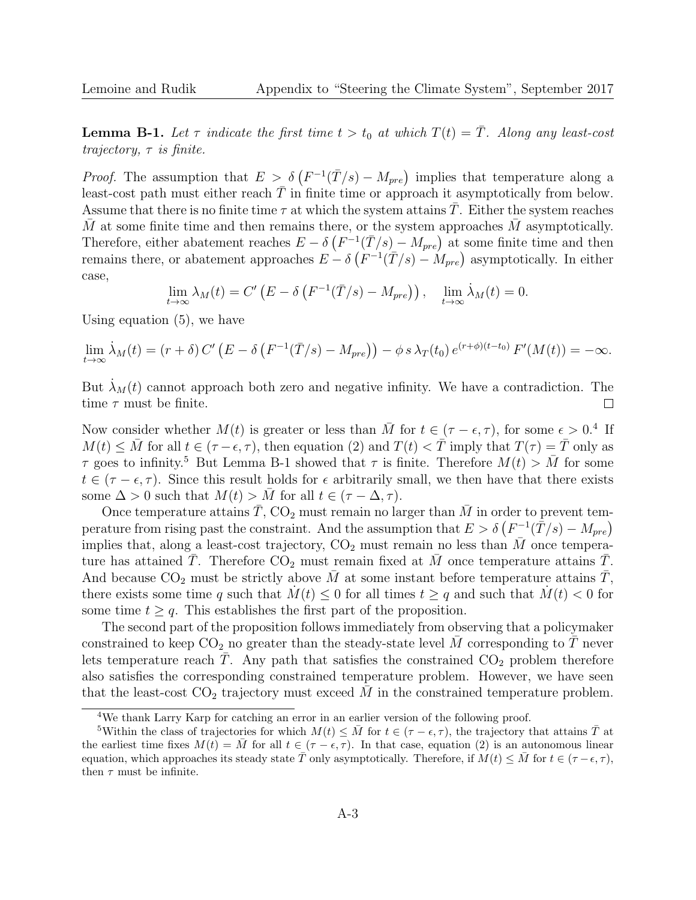**Lemma B-1.** Let  $\tau$  indicate the first time  $t > t_0$  at which  $T(t) = \overline{T}$ . Along any least-cost trajectory,  $\tau$  is finite.

*Proof.* The assumption that  $E > \delta(F^{-1}(\overline{T}/s) - M_{pre})$  implies that temperature along a least-cost path must either reach  $\overline{T}$  in finite time or approach it asymptotically from below. Assume that there is no finite time  $\tau$  at which the system attains T. Either the system reaches M at some finite time and then remains there, or the system approaches  $M$  asymptotically. Therefore, either abatement reaches  $E - \delta \left( F^{-1}(\bar{T}/s) - M_{pre} \right)$  at some finite time and then remains there, or abatement approaches  $E - \delta \left( F^{-1}(\overline{T}/s) - M_{pre} \right)$  asymptotically. In either case,

$$
\lim_{t \to \infty} \lambda_M(t) = C' \left( E - \delta \left( F^{-1}(\overline{T}/s) - M_{pre} \right) \right), \quad \lim_{t \to \infty} \lambda_M(t) = 0.
$$

Using equation (5), we have

$$
\lim_{t \to \infty} \dot{\lambda}_M(t) = (r + \delta) C' \left( E - \delta \left( F^{-1}(\overline{T}/s) - M_{pre} \right) \right) - \phi \, s \, \lambda_T(t_0) \, e^{(r+\phi)(t-t_0)} \, F'(M(t)) = -\infty.
$$

But  $\lambda_M(t)$  cannot approach both zero and negative infinity. We have a contradiction. The time  $\tau$  must be finite.  $\Box$ 

Now consider whether  $M(t)$  is greater or less than  $\overline{M}$  for  $t \in (\tau - \epsilon, \tau)$ , for some  $\epsilon > 0.4$  If  $M(t) \leq \overline{M}$  for all  $t \in (\tau - \epsilon, \tau)$ , then equation (2) and  $T(t) < \overline{T}$  imply that  $T(\tau) = \overline{T}$  only as  $\tau$  goes to infinity.<sup>5</sup> But Lemma B-1 showed that  $\tau$  is finite. Therefore  $M(t) > \overline{M}$  for some  $t \in (\tau - \epsilon, \tau)$ . Since this result holds for  $\epsilon$  arbitrarily small, we then have that there exists some  $\Delta > 0$  such that  $M(t) > M$  for all  $t \in (\tau - \Delta, \tau)$ .

Once temperature attains  $\overline{T}$ , CO<sub>2</sub> must remain no larger than  $\overline{M}$  in order to prevent temperature from rising past the constraint. And the assumption that  $E > \delta \left( F^{-1}(\bar{\bar{T}}/s) - M_{pre} \right)$ implies that, along a least-cost trajectory,  $CO_2$  must remain no less than  $\overline{M}$  once temperature has attained T. Therefore  $CO<sub>2</sub>$  must remain fixed at M once temperature attains T. And because  $CO_2$  must be strictly above M at some instant before temperature attains T, there exists some time q such that  $M(t) \leq 0$  for all times  $t \geq q$  and such that  $M(t) < 0$  for some time  $t \geq q$ . This establishes the first part of the proposition.

The second part of the proposition follows immediately from observing that a policymaker constrained to keep  $CO_2$  no greater than the steady-state level M corresponding to T never lets temperature reach  $\overline{T}$ . Any path that satisfies the constrained  $CO_2$  problem therefore also satisfies the corresponding constrained temperature problem. However, we have seen that the least-cost  $CO_2$  trajectory must exceed M in the constrained temperature problem.

<sup>4</sup>We thank Larry Karp for catching an error in an earlier version of the following proof.

<sup>&</sup>lt;sup>5</sup>Within the class of trajectories for which  $M(t) \leq \overline{M}$  for  $t \in (\tau - \epsilon, \tau)$ , the trajectory that attains  $\overline{T}$  at the earliest time fixes  $M(t) = \overline{M}$  for all  $t \in (\tau - \epsilon, \tau)$ . In that case, equation (2) is an autonomous linear equation, which approaches its steady state  $\overline{T}$  only asymptotically. Therefore, if  $M(t) \leq \overline{M}$  for  $t \in (\tau - \epsilon, \tau)$ , then  $\tau$  must be infinite.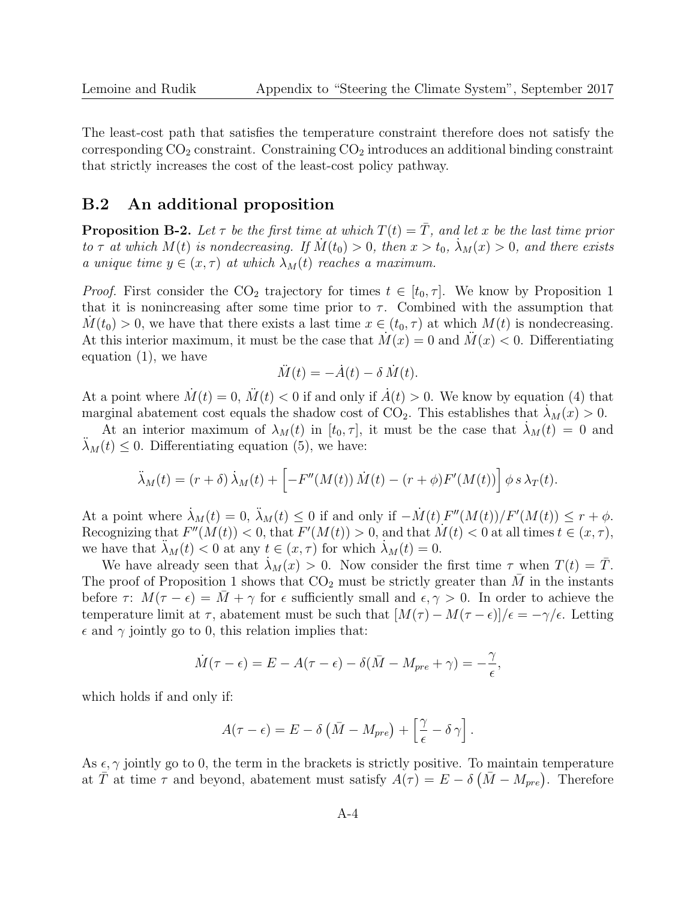The least-cost path that satisfies the temperature constraint therefore does not satisfy the corresponding  $CO<sub>2</sub>$  constraint. Constraining  $CO<sub>2</sub>$  introduces an additional binding constraint that strictly increases the cost of the least-cost policy pathway.

### B.2 An additional proposition

**Proposition B-2.** Let  $\tau$  be the first time at which  $T(t) = \overline{T}$ , and let x be the last time prior to  $\tau$  at which  $M(t)$  is nondecreasing. If  $M(t_0) > 0$ , then  $x > t_0$ ,  $\lambda_M(x) > 0$ , and there exists a unique time  $y \in (x, \tau)$  at which  $\lambda_M(t)$  reaches a maximum.

*Proof.* First consider the CO<sub>2</sub> trajectory for times  $t \in [t_0, \tau]$ . We know by Proposition 1 that it is nonincreasing after some time prior to  $\tau$ . Combined with the assumption that  $M(t_0) > 0$ , we have that there exists a last time  $x \in (t_0, \tau)$  at which  $M(t)$  is nondecreasing. At this interior maximum, it must be the case that  $M(x) = 0$  and  $M(x) < 0$ . Differentiating equation (1), we have

$$
\ddot{M}(t) = -\dot{A}(t) - \delta \dot{M}(t).
$$

At a point where  $\dot{M}(t) = 0$ ,  $\dot{M}(t) < 0$  if and only if  $\dot{A}(t) > 0$ . We know by equation (4) that marginal abatement cost equals the shadow cost of  $CO_2$ . This establishes that  $\lambda_M(x) > 0$ .

At an interior maximum of  $\lambda_M(t)$  in  $[t_0, \tau]$ , it must be the case that  $\lambda_M(t) = 0$  and  $\lambda_M(t) \leq 0$ . Differentiating equation (5), we have:

$$
\ddot{\lambda}_M(t) = (r+\delta)\dot{\lambda}_M(t) + \left[ -F''(M(t))\dot{M}(t) - (r+\phi)F'(M(t)) \right] \phi \, s \, \lambda_T(t).
$$

At a point where  $\dot{\lambda}_M(t) = 0$ ,  $\ddot{\lambda}_M(t) \leq 0$  if and only if  $-\dot{M}(t) F''(M(t))/F'(M(t)) \leq r + \phi$ . Recognizing that  $F''(M(t)) < 0$ , that  $F'(M(t)) > 0$ , and that  $M(t) < 0$  at all times  $t \in (x, \tau)$ , we have that  $\ddot{\lambda}_M(t) < 0$  at any  $t \in (x, \tau)$  for which  $\dot{\lambda}_M(t) = 0$ .

We have already seen that  $\lambda_M(x) > 0$ . Now consider the first time  $\tau$  when  $T(t) = \overline{T}$ . The proof of Proposition 1 shows that  $CO<sub>2</sub>$  must be strictly greater than M in the instants before  $\tau$ :  $M(\tau - \epsilon) = M + \gamma$  for  $\epsilon$  sufficiently small and  $\epsilon, \gamma > 0$ . In order to achieve the temperature limit at  $\tau$ , abatement must be such that  $[M(\tau) - M(\tau - \epsilon)]/\epsilon = -\gamma/\epsilon$ . Letting  $\epsilon$  and  $\gamma$  jointly go to 0, this relation implies that:

$$
\dot{M}(\tau - \epsilon) = E - A(\tau - \epsilon) - \delta(\bar{M} - M_{pre} + \gamma) = -\frac{\gamma}{\epsilon},
$$

which holds if and only if:

$$
A(\tau - \epsilon) = E - \delta \left( \bar{M} - M_{pre} \right) + \left[ \frac{\gamma}{\epsilon} - \delta \gamma \right].
$$

As  $\epsilon$ ,  $\gamma$  jointly go to 0, the term in the brackets is strictly positive. To maintain temperature at  $\overline{T}$  at time  $\tau$  and beyond, abatement must satisfy  $A(\tau) = E - \delta \left( \overline{M} - M_{pre} \right)$ . Therefore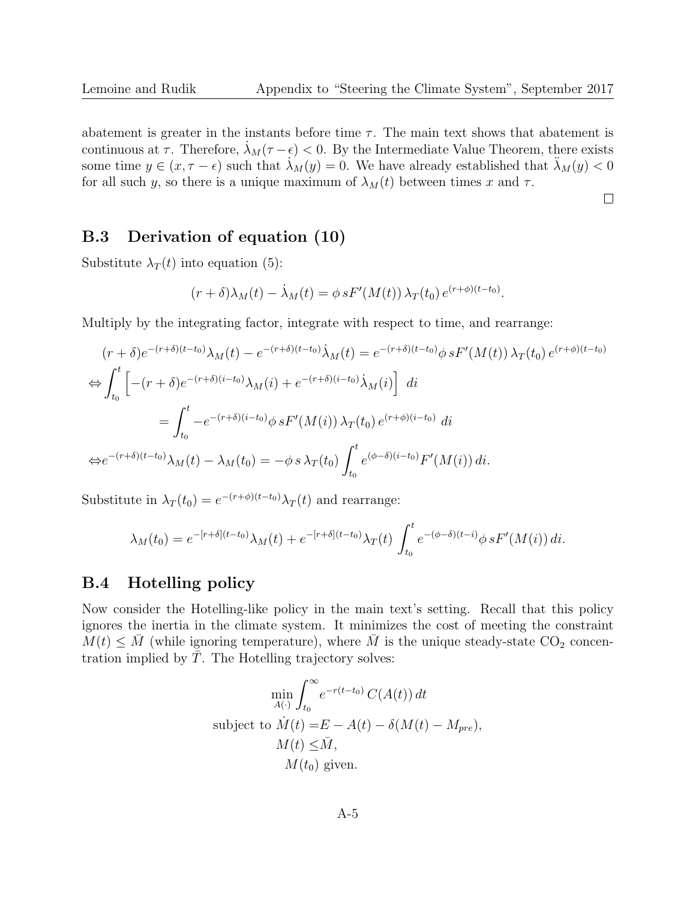abatement is greater in the instants before time  $\tau$ . The main text shows that abatement is continuous at  $\tau$ . Therefore,  $\lambda_M(\tau - \epsilon) < 0$ . By the Intermediate Value Theorem, there exists some time  $y \in (x, \tau - \epsilon)$  such that  $\lambda_M(y) = 0$ . We have already established that  $\lambda_M(y) < 0$ for all such y, so there is a unique maximum of  $\lambda_M(t)$  between times x and  $\tau$ .

 $\Box$ 

### B.3 Derivation of equation (10)

Substitute  $\lambda_T(t)$  into equation (5):

$$
(r+\delta)\lambda_M(t) - \lambda_M(t) = \phi s F'(M(t)) \lambda_T(t_0) e^{(r+\phi)(t-t_0)}.
$$

Multiply by the integrating factor, integrate with respect to time, and rearrange:

$$
(r+\delta)e^{-(r+\delta)(t-t_0)}\lambda_M(t) - e^{-(r+\delta)(t-t_0)}\lambda_M(t) = e^{-(r+\delta)(t-t_0)}\phi sF'(M(t))\lambda_T(t_0)e^{(r+\phi)(t-t_0)}
$$
  
\n
$$
\Leftrightarrow \int_{t_0}^t \left[ -(r+\delta)e^{-(r+\delta)(i-t_0)}\lambda_M(i) + e^{-(r+\delta)(i-t_0)}\lambda_M(i) \right] di
$$
  
\n
$$
= \int_{t_0}^t -e^{-(r+\delta)(i-t_0)}\phi sF'(M(i))\lambda_T(t_0)e^{(r+\phi)(i-t_0)} di
$$
  
\n
$$
\Leftrightarrow e^{-(r+\delta)(t-t_0)}\lambda_M(t) - \lambda_M(t_0) = -\phi s \lambda_T(t_0) \int_{t_0}^t e^{(\phi-\delta)(i-t_0)}F'(M(i)) di.
$$

Substitute in  $\lambda_T(t_0) = e^{-(r+\phi)(t-t_0)} \lambda_T(t)$  and rearrange:

$$
\lambda_M(t_0) = e^{-[r+\delta](t-t_0)} \lambda_M(t) + e^{-[r+\delta](t-t_0)} \lambda_T(t) \int_{t_0}^t e^{-(\phi-\delta)(t-i)} \phi \, sF'(M(i)) \, di.
$$

### B.4 Hotelling policy

Now consider the Hotelling-like policy in the main text's setting. Recall that this policy ignores the inertia in the climate system. It minimizes the cost of meeting the constraint  $M(t) \leq M$  (while ignoring temperature), where M is the unique steady-state CO<sub>2</sub> concentration implied by  $T$ . The Hotelling trajectory solves:

$$
\min_{A(\cdot)} \int_{t_0}^{\infty} e^{-r(t-t_0)} C(A(t)) dt
$$
\nsubject to  $\dot{M}(t) = E - A(t) - \delta(M(t) - M_{pre}),$   
\n
$$
M(t) \leq \bar{M},
$$
  
\n
$$
M(t_0) \text{ given.}
$$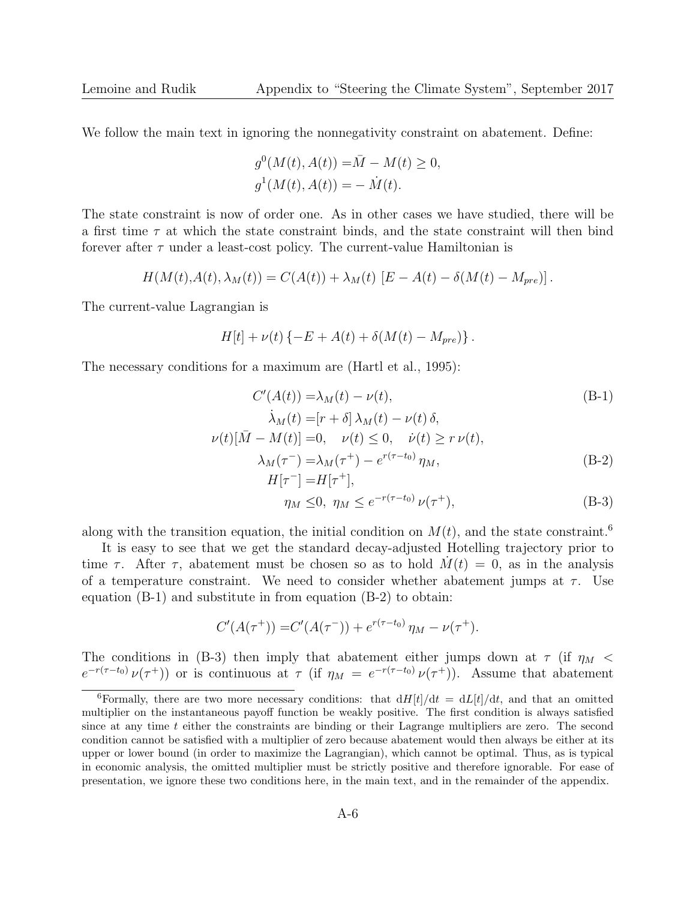We follow the main text in ignoring the nonnegativity constraint on abatement. Define:

$$
g^{0}(M(t), A(t)) = \overline{M} - M(t) \ge 0,
$$
  

$$
g^{1}(M(t), A(t)) = -\dot{M}(t).
$$

The state constraint is now of order one. As in other cases we have studied, there will be a first time  $\tau$  at which the state constraint binds, and the state constraint will then bind forever after  $\tau$  under a least-cost policy. The current-value Hamiltonian is

$$
H(M(t),A(t),\lambda_M(t)) = C(A(t)) + \lambda_M(t) [E - A(t) - \delta(M(t) - M_{pre})].
$$

The current-value Lagrangian is

$$
H[t] + \nu(t) \{-E + A(t) + \delta(M(t) - M_{pre})\}.
$$

The necessary conditions for a maximum are (Hartl et al., 1995):

$$
C'(A(t)) = \lambda_M(t) - \nu(t),
$$
\n
$$
\lambda_M(t) = [r + \delta] \lambda_M(t) - \nu(t) \delta,
$$
\n
$$
\nu(t)[\bar{M} - M(t)] = 0, \quad \nu(t) \le 0, \quad \dot{\nu}(t) \ge r \nu(t),
$$
\n
$$
\lambda_M(\tau^-) = \lambda_M(\tau^+) - e^{r(\tau - t_0)} \eta_M,
$$
\n
$$
H[\tau^-] = H[\tau^+],
$$
\n
$$
\eta_M \le 0, \quad \eta_M \le e^{-r(\tau - t_0)} \nu(\tau^+),
$$
\n(B-3)

along with the transition equation, the initial condition on  $M(t)$ , and the state constraint.<sup>6</sup>

It is easy to see that we get the standard decay-adjusted Hotelling trajectory prior to time  $\tau$ . After  $\tau$ , abatement must be chosen so as to hold  $M(t) = 0$ , as in the analysis of a temperature constraint. We need to consider whether abatement jumps at  $\tau$ . Use equation (B-1) and substitute in from equation (B-2) to obtain:

$$
C'(A(\tau^+)) = C'(A(\tau^-)) + e^{r(\tau - t_0)} \eta_M - \nu(\tau^+).
$$

The conditions in (B-3) then imply that abatement either jumps down at  $\tau$  (if  $\eta_M$  <  $e^{-r(\tau-t_0)}\nu(\tau^+)$  or is continuous at  $\tau$  (if  $\eta_M = e^{-r(\tau-t_0)}\nu(\tau^+)$ ). Assume that abatement

<sup>&</sup>lt;sup>6</sup>Formally, there are two more necessary conditions: that  $dH[t]/dt = dL[t]/dt$ , and that an omitted multiplier on the instantaneous payoff function be weakly positive. The first condition is always satisfied since at any time  $t$  either the constraints are binding or their Lagrange multipliers are zero. The second condition cannot be satisfied with a multiplier of zero because abatement would then always be either at its upper or lower bound (in order to maximize the Lagrangian), which cannot be optimal. Thus, as is typical in economic analysis, the omitted multiplier must be strictly positive and therefore ignorable. For ease of presentation, we ignore these two conditions here, in the main text, and in the remainder of the appendix.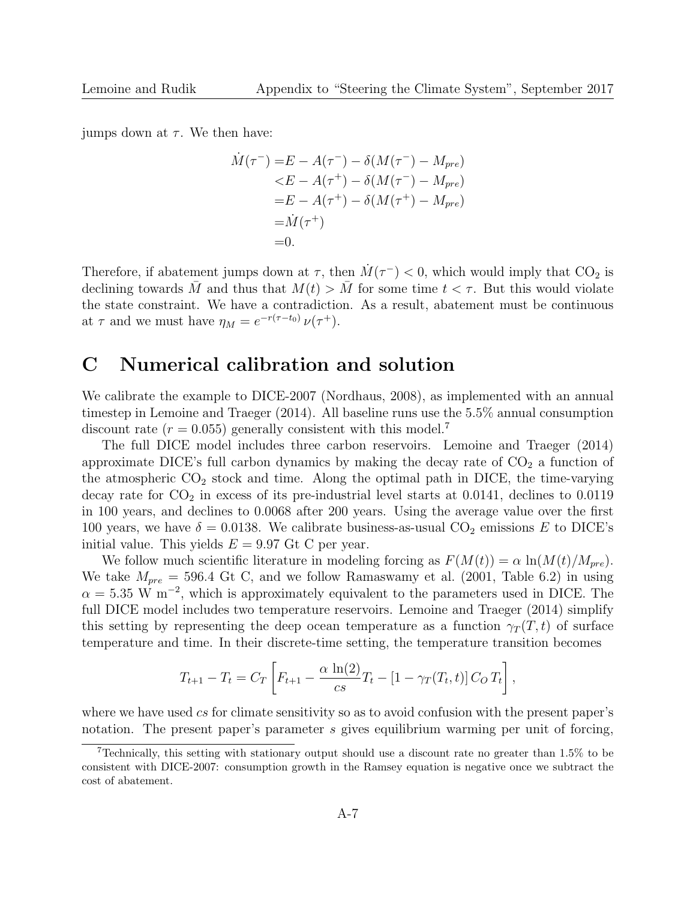jumps down at  $\tau$ . We then have:

$$
\dot{M}(\tau^{-}) = E - A(\tau^{-}) - \delta(M(\tau^{-}) - M_{pre}) \n\leq E - A(\tau^{+}) - \delta(M(\tau^{-}) - M_{pre}) \n= E - A(\tau^{+}) - \delta(M(\tau^{+}) - M_{pre}) \n= \dot{M}(\tau^{+}) \n= 0.
$$

Therefore, if abatement jumps down at  $\tau$ , then  $\dot{M}(\tau^{-})$  < 0, which would imply that CO<sub>2</sub> is declining towards M and thus that  $M(t) > M$  for some time  $t < \tau$ . But this would violate the state constraint. We have a contradiction. As a result, abatement must be continuous at  $\tau$  and we must have  $\eta_M = e^{-r(\tau - t_0)} \nu(\tau^+).$ 

## C Numerical calibration and solution

We calibrate the example to DICE-2007 (Nordhaus, 2008), as implemented with an annual timestep in Lemoine and Traeger (2014). All baseline runs use the 5.5% annual consumption discount rate  $(r = 0.055)$  generally consistent with this model.<sup>7</sup>

The full DICE model includes three carbon reservoirs. Lemoine and Traeger (2014) approximate DICE's full carbon dynamics by making the decay rate of  $CO<sub>2</sub>$  a function of the atmospheric  $CO<sub>2</sub>$  stock and time. Along the optimal path in DICE, the time-varying decay rate for  $CO<sub>2</sub>$  in excess of its pre-industrial level starts at 0.0141, declines to 0.0119 in 100 years, and declines to 0.0068 after 200 years. Using the average value over the first 100 years, we have  $\delta = 0.0138$ . We calibrate business-as-usual CO<sub>2</sub> emissions E to DICE's initial value. This yields  $E = 9.97$  Gt C per year.

We follow much scientific literature in modeling forcing as  $F(M(t)) = \alpha \ln(M(t)/M_{pre})$ . We take  $M_{pre} = 596.4$  Gt C, and we follow Ramaswamy et al. (2001, Table 6.2) in using  $\alpha = 5.35$  W m<sup>-2</sup>, which is approximately equivalent to the parameters used in DICE. The full DICE model includes two temperature reservoirs. Lemoine and Traeger (2014) simplify this setting by representing the deep ocean temperature as a function  $\gamma_T(T, t)$  of surface temperature and time. In their discrete-time setting, the temperature transition becomes

$$
T_{t+1} - T_t = C_T \left[ F_{t+1} - \frac{\alpha \ln(2)}{cs} T_t - [1 - \gamma_T(T_t, t)] C_O T_t \right],
$$

where we have used cs for climate sensitivity so as to avoid confusion with the present paper's notation. The present paper's parameter s gives equilibrium warming per unit of forcing,

<sup>&</sup>lt;sup>7</sup>Technically, this setting with stationary output should use a discount rate no greater than 1.5% to be consistent with DICE-2007: consumption growth in the Ramsey equation is negative once we subtract the cost of abatement.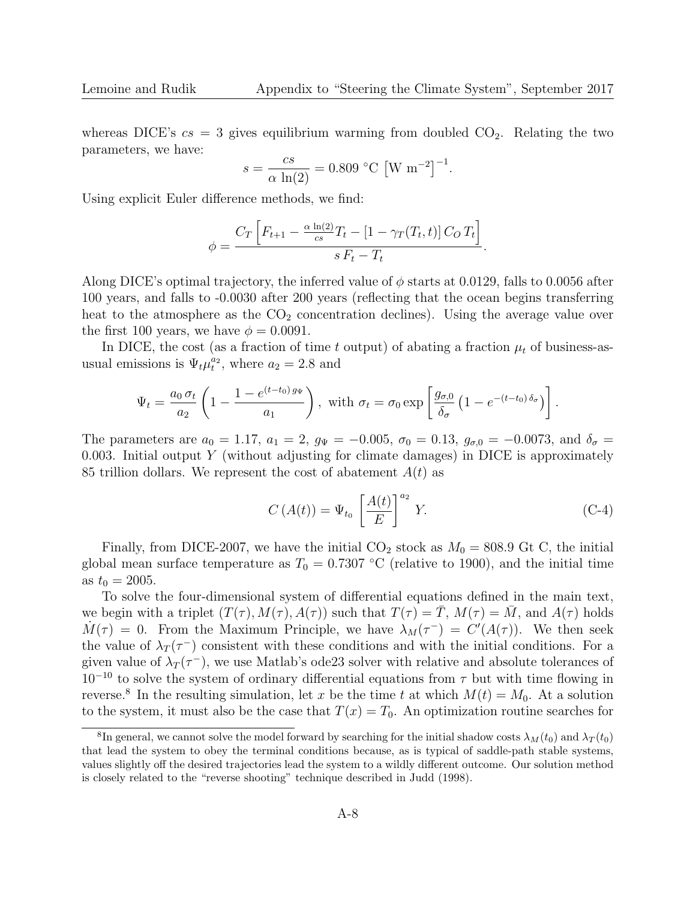whereas DICE's  $cs = 3$  gives equilibrium warming from doubled  $CO<sub>2</sub>$ . Relating the two parameters, we have:

$$
s = \frac{cs}{\alpha \ln(2)} = 0.809 \text{ °C} [W \text{ m}^{-2}]^{-1}.
$$

Using explicit Euler difference methods, we find:

$$
\phi = \frac{C_T \left[ F_{t+1} - \frac{\alpha \ln(2)}{cs} T_t - [1 - \gamma_T(T_t, t)] C_O T_t \right]}{s F_t - T_t}.
$$

Along DICE's optimal trajectory, the inferred value of  $\phi$  starts at 0.0129, falls to 0.0056 after 100 years, and falls to -0.0030 after 200 years (reflecting that the ocean begins transferring heat to the atmosphere as the  $CO<sub>2</sub>$  concentration declines). Using the average value over the first 100 years, we have  $\phi = 0.0091$ .

In DICE, the cost (as a fraction of time t output) of abating a fraction  $\mu_t$  of business-asusual emissions is  $\Psi_t \mu_t^{a_2}$ , where  $a_2 = 2.8$  and

$$
\Psi_t = \frac{a_0 \,\sigma_t}{a_2} \left( 1 - \frac{1 - e^{(t - t_0) \,g_\Psi}}{a_1} \right), \text{ with } \sigma_t = \sigma_0 \exp\left[ \frac{g_{\sigma,0}}{\delta_\sigma} \left( 1 - e^{-(t - t_0) \,\delta_\sigma} \right) \right].
$$

The parameters are  $a_0 = 1.17$ ,  $a_1 = 2$ ,  $g_{\Psi} = -0.005$ ,  $\sigma_0 = 0.13$ ,  $g_{\sigma,0} = -0.0073$ , and  $\delta_{\sigma} =$ 0.003. Initial output Y (without adjusting for climate damages) in DICE is approximately 85 trillion dollars. We represent the cost of abatement  $A(t)$  as

$$
C\left(A(t)\right) = \Psi_{t_0} \left[\frac{A(t)}{E}\right]^{a_2} Y. \tag{C-4}
$$

Finally, from DICE-2007, we have the initial  $CO_2$  stock as  $M_0 = 808.9$  Gt C, the initial global mean surface temperature as  $T_0 = 0.7307 \text{ °C}$  (relative to 1900), and the initial time as  $t_0 = 2005$ .

To solve the four-dimensional system of differential equations defined in the main text, we begin with a triplet  $(T(\tau), M(\tau), A(\tau))$  such that  $T(\tau) = \overline{T}$ ,  $M(\tau) = \overline{M}$ , and  $A(\tau)$  holds  $\dot{M}(\tau) = 0$ . From the Maximum Principle, we have  $\lambda_M(\tau^-) = C'(A(\tau))$ . We then seek the value of  $\lambda_T(\tau^-)$  consistent with these conditions and with the initial conditions. For a given value of  $\lambda_T(\tau^-)$ , we use Matlab's ode23 solver with relative and absolute tolerances of  $10^{-10}$  to solve the system of ordinary differential equations from  $\tau$  but with time flowing in reverse.<sup>8</sup> In the resulting simulation, let x be the time t at which  $M(t) = M_0$ . At a solution to the system, it must also be the case that  $T(x) = T_0$ . An optimization routine searches for

<sup>&</sup>lt;sup>8</sup>In general, we cannot solve the model forward by searching for the initial shadow costs  $\lambda_M(t_0)$  and  $\lambda_T(t_0)$ that lead the system to obey the terminal conditions because, as is typical of saddle-path stable systems, values slightly off the desired trajectories lead the system to a wildly different outcome. Our solution method is closely related to the "reverse shooting" technique described in Judd (1998).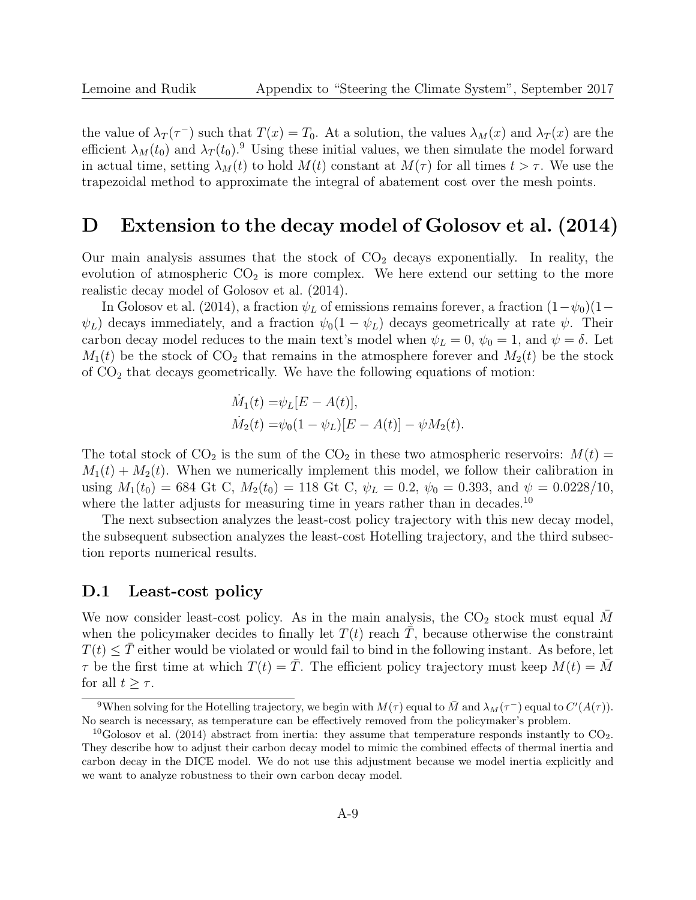the value of  $\lambda_T(\tau^-)$  such that  $T(x) = T_0$ . At a solution, the values  $\lambda_M(x)$  and  $\lambda_T(x)$  are the efficient  $\lambda_M(t_0)$  and  $\lambda_T(t_0)$ .<sup>9</sup> Using these initial values, we then simulate the model forward in actual time, setting  $\lambda_M(t)$  to hold  $M(t)$  constant at  $M(\tau)$  for all times  $t > \tau$ . We use the trapezoidal method to approximate the integral of abatement cost over the mesh points.

## D Extension to the decay model of Golosov et al. (2014)

Our main analysis assumes that the stock of  $CO<sub>2</sub>$  decays exponentially. In reality, the evolution of atmospheric  $CO<sub>2</sub>$  is more complex. We here extend our setting to the more realistic decay model of Golosov et al. (2014).

In Golosov et al. (2014), a fraction  $\psi_L$  of emissions remains forever, a fraction  $(1-\psi_0)(1-\psi_0)$  $\psi_L$ ) decays immediately, and a fraction  $\psi_0(1-\psi_L)$  decays geometrically at rate  $\psi$ . Their carbon decay model reduces to the main text's model when  $\psi_L = 0$ ,  $\psi_0 = 1$ , and  $\psi = \delta$ . Let  $M_1(t)$  be the stock of  $CO_2$  that remains in the atmosphere forever and  $M_2(t)$  be the stock of  $CO<sub>2</sub>$  that decays geometrically. We have the following equations of motion:

$$
\dot{M}_1(t) = \psi_L[E - A(t)],
$$
  
\n
$$
\dot{M}_2(t) = \psi_0(1 - \psi_L)[E - A(t)] - \psi M_2(t).
$$

The total stock of  $CO_2$  is the sum of the  $CO_2$  in these two atmospheric reservoirs:  $M(t)$  =  $M_1(t) + M_2(t)$ . When we numerically implement this model, we follow their calibration in using  $M_1(t_0) = 684$  Gt C,  $M_2(t_0) = 118$  Gt C,  $\psi_L = 0.2$ ,  $\psi_0 = 0.393$ , and  $\psi = 0.0228/10$ , where the latter adjusts for measuring time in years rather than in decades.<sup>10</sup>

The next subsection analyzes the least-cost policy trajectory with this new decay model, the subsequent subsection analyzes the least-cost Hotelling trajectory, and the third subsection reports numerical results.

#### D.1 Least-cost policy

We now consider least-cost policy. As in the main analysis, the  $CO<sub>2</sub>$  stock must equal M when the policymaker decides to finally let  $T(t)$  reach T, because otherwise the constraint  $T(t) \leq \overline{T}$  either would be violated or would fail to bind in the following instant. As before, let  $\tau$  be the first time at which  $T(t) = \overline{T}$ . The efficient policy trajectory must keep  $M(t) = \overline{M}$ for all  $t > \tau$ .

<sup>&</sup>lt;sup>9</sup>When solving for the Hotelling trajectory, we begin with  $M(\tau)$  equal to  $\bar{M}$  and  $\lambda_M(\tau^-)$  equal to  $C'(A(\tau))$ . No search is necessary, as temperature can be effectively removed from the policymaker's problem.

<sup>&</sup>lt;sup>10</sup>Golosov et al. (2014) abstract from inertia: they assume that temperature responds instantly to  $CO<sub>2</sub>$ . They describe how to adjust their carbon decay model to mimic the combined effects of thermal inertia and carbon decay in the DICE model. We do not use this adjustment because we model inertia explicitly and we want to analyze robustness to their own carbon decay model.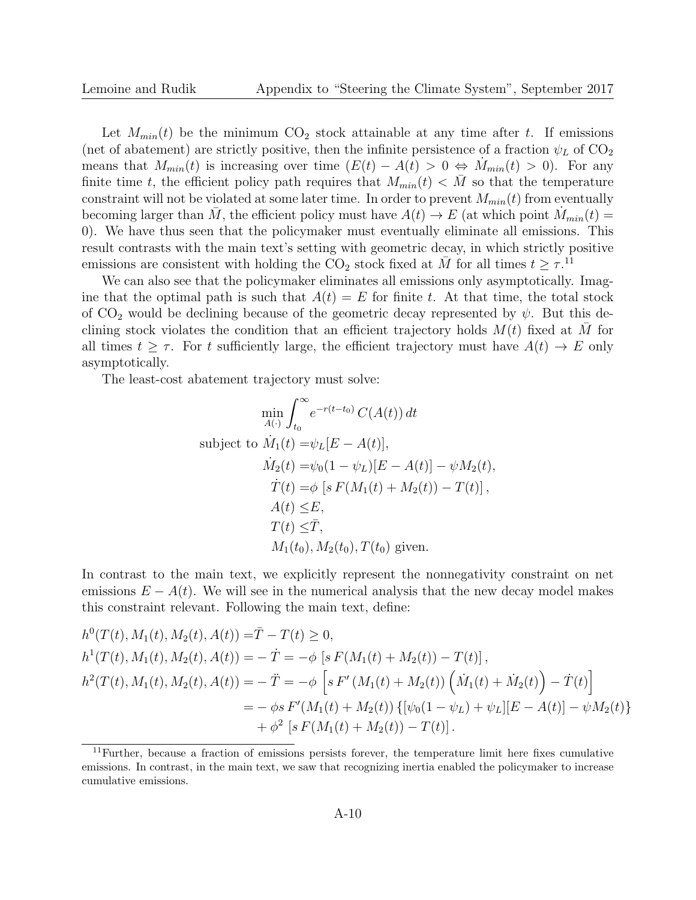Let  $M_{min}(t)$  be the minimum  $CO_2$  stock attainable at any time after t. If emissions (net of abatement) are strictly positive, then the infinite persistence of a fraction  $\psi_L$  of  $CO_2$ means that  $M_{min}(t)$  is increasing over time  $(E(t) - A(t) > 0 \Leftrightarrow M_{min}(t) > 0)$ . For any finite time t, the efficient policy path requires that  $M_{min}(t) < \overline{M}$  so that the temperature constraint will not be violated at some later time. In order to prevent  $M_{min}(t)$  from eventually becoming larger than M, the efficient policy must have  $A(t) \to E$  (at which point  $M_{min}(t) =$ 0). We have thus seen that the policymaker must eventually eliminate all emissions. This result contrasts with the main text's setting with geometric decay, in which strictly positive emissions are consistent with holding the CO<sub>2</sub> stock fixed at  $\overline{M}$  for all times  $t \geq \tau$ .<sup>11</sup>

We can also see that the policymaker eliminates all emissions only asymptotically. Imagine that the optimal path is such that  $A(t) = E$  for finite t. At that time, the total stock of  $CO<sub>2</sub>$  would be declining because of the geometric decay represented by  $\psi$ . But this declining stock violates the condition that an efficient trajectory holds  $M(t)$  fixed at  $\overline{M}$  for all times  $t > \tau$ . For t sufficiently large, the efficient trajectory must have  $A(t) \to E$  only asymptotically.

The least-cost abatement trajectory must solve:

$$
\min_{A(\cdot)} \int_{t_0}^{\infty} e^{-r(t-t_0)} C(A(t)) dt
$$
\nsubject to  $\dot{M}_1(t) = \psi_L[E - A(t)],$   
\n $\dot{M}_2(t) = \psi_0(1 - \psi_L)[E - A(t)] - \psi M_2(t),$   
\n $\dot{T}(t) = \phi [s F(M_1(t) + M_2(t)) - T(t)],$   
\n $A(t) \le E,$   
\n $T(t) \le \bar{T},$   
\n $M_1(t_0), M_2(t_0), T(t_0)$  given.

In contrast to the main text, we explicitly represent the nonnegativity constraint on net emissions  $E - A(t)$ . We will see in the numerical analysis that the new decay model makes this constraint relevant. Following the main text, define:

$$
h^{0}(T(t), M_{1}(t), M_{2}(t), A(t)) = \overline{T} - T(t) \ge 0,
$$
  
\n
$$
h^{1}(T(t), M_{1}(t), M_{2}(t), A(t)) = -\dot{T} = -\phi \left[ s F(M_{1}(t) + M_{2}(t)) - T(t) \right],
$$
  
\n
$$
h^{2}(T(t), M_{1}(t), M_{2}(t), A(t)) = -\ddot{T} = -\phi \left[ s F'(M_{1}(t) + M_{2}(t)) \left( \dot{M}_{1}(t) + \dot{M}_{2}(t) \right) - \dot{T}(t) \right]
$$
  
\n
$$
= -\phi s F'(M_{1}(t) + M_{2}(t)) \left\{ [\psi_{0}(1 - \psi_{L}) + \psi_{L}] [E - A(t)] - \psi M_{2}(t) \right\}
$$
  
\n
$$
+ \phi^{2} \left[ s F(M_{1}(t) + M_{2}(t)) - T(t) \right].
$$

 $11$ Further, because a fraction of emissions persists forever, the temperature limit here fixes cumulative emissions. In contrast, in the main text, we saw that recognizing inertia enabled the policymaker to increase cumulative emissions.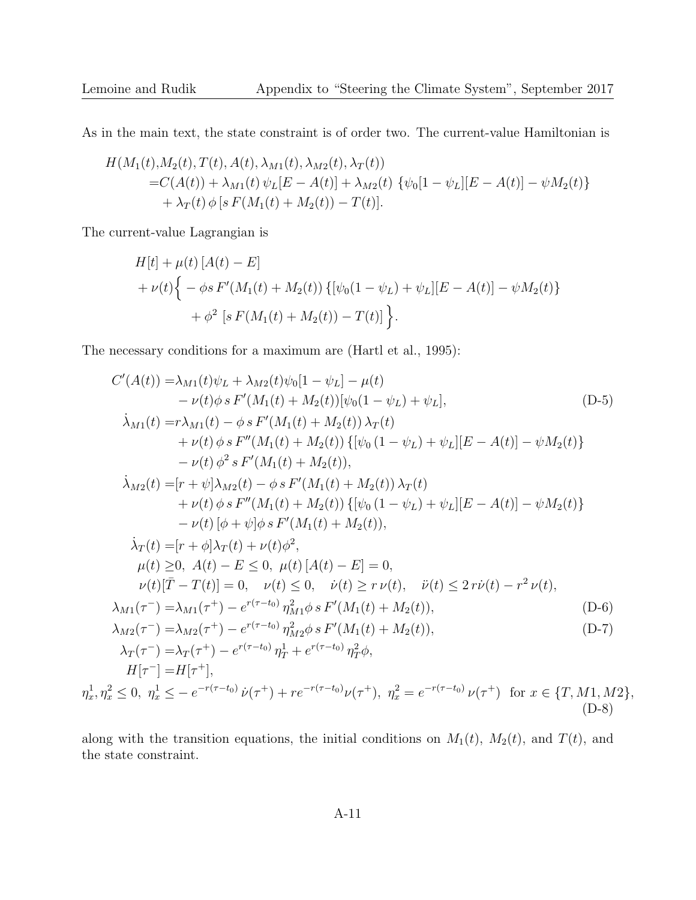As in the main text, the state constraint is of order two. The current-value Hamiltonian is

$$
H(M_1(t),M_2(t),T(t),A(t),\lambda_{M1}(t),\lambda_{M2}(t),\lambda_T(t))
$$
  
= $C(A(t)) + \lambda_{M1}(t) \psi_L[E - A(t)] + \lambda_{M2}(t) \{\psi_0[1 - \psi_L][E - A(t)] - \psi M_2(t)\}\$   
+  $\lambda_T(t) \phi[s F(M_1(t) + M_2(t)) - T(t)].$ 

The current-value Lagrangian is

$$
H[t] + \mu(t) [A(t) - E]
$$
  
+  $\nu(t) \Big\{ - \phi s F'(M_1(t) + M_2(t)) \{ [\psi_0(1 - \psi_L) + \psi_L][E - A(t)] - \psi M_2(t) \} + \phi^2 [s F(M_1(t) + M_2(t)) - T(t)] \Big\}.$ 

The necessary conditions for a maximum are (Hartl et al., 1995):

$$
C'(A(t)) = \lambda_{M1}(t)\psi_L + \lambda_{M2}(t)\psi_0[1 - \psi_L] - \mu(t)
$$
  
\n
$$
- \nu(t)\phi s F'(M_1(t) + M_2(t))[\psi_0(1 - \psi_L) + \psi_L],
$$
  
\n
$$
\lambda_{M1}(t) = r\lambda_{M1}(t) - \phi s F'(M_1(t) + M_2(t))\lambda_T(t)
$$
  
\n
$$
+ \nu(t)\phi s F''(M_1(t) + M_2(t))\{[\psi_0(1 - \psi_L) + \psi_L][E - A(t)] - \psi M_2(t)\}
$$
  
\n
$$
- \nu(t)\phi^2 s F'(M_1(t) + M_2(t)),
$$
  
\n
$$
\lambda_{M2}(t) = [r + \psi]\lambda_{M2}(t) - \phi s F'(M_1(t) + M_2(t))\lambda_T(t)
$$
  
\n
$$
+ \nu(t)\phi s F''(M_1(t) + M_2(t))\{[\psi_0(1 - \psi_L) + \psi_L][E - A(t)] - \psi M_2(t)\}
$$
  
\n
$$
- \nu(t)[\phi + \psi]\phi s F'(M_1(t) + M_2(t)),
$$
  
\n
$$
\lambda_T(t) = [r + \phi]\lambda_T(t) + \nu(t)\phi^2,
$$
  
\n
$$
\mu(t) \ge 0, A(t) - E \le 0, \mu(t)[A(t) - E] = 0,
$$
  
\n
$$
\nu(t)[\overline{T} - T(t)] = 0, \quad \nu(t) \le 0, \quad \dot{\nu}(t) \ge r \nu(t), \quad \ddot{\nu}(t) \le 2r\dot{\nu}(t) - r^2 \nu(t),
$$
  
\n
$$
\lambda_{M1}(\tau^-) = \lambda_{M1}(\tau^+) - e^{r(\tau-t_0)}\eta_{M1}^2 \phi s F'(M_1(t) + M_2(t)),
$$
  
\n
$$
\lambda_{M2}(\tau^-) = \lambda_{M2}(\tau^+) - e^{r(\tau-t_0)}\eta_{M2}^2 \phi s F'(M_1(t) + M_2(t)),
$$
  
\n
$$
\lambda_{T2}(\tau^-) = \lambda_{T2}(\tau^+) - e^{r(\tau-t_0)}\eta_{M2}^2 \phi s F'(M_1(t) + M_2(t)),
$$
  
\n<

along with the transition equations, the initial conditions on  $M_1(t)$ ,  $M_2(t)$ , and  $T(t)$ , and the state constraint.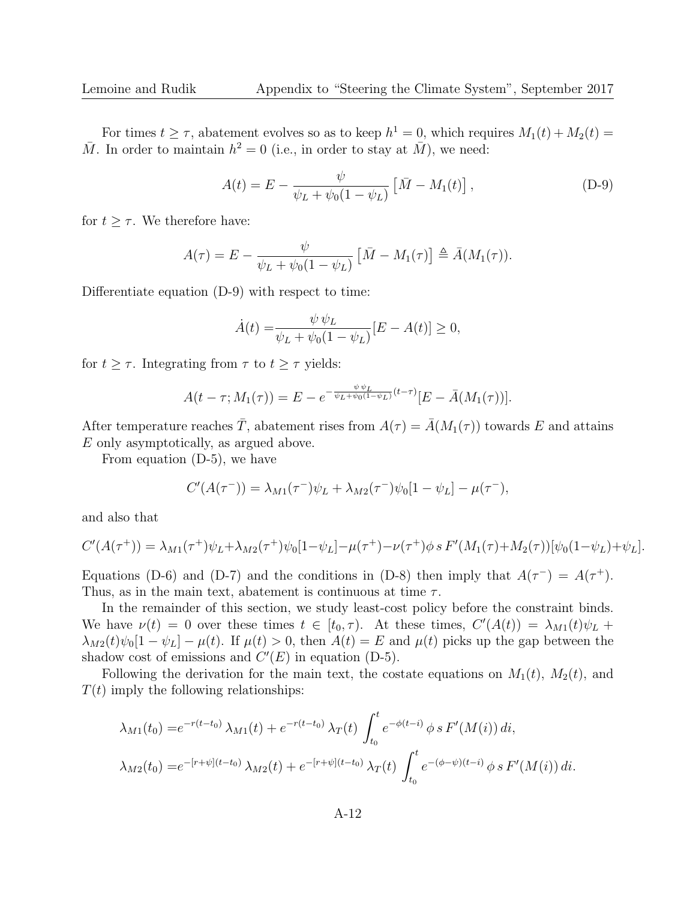For times  $t \geq \tau$ , abatement evolves so as to keep  $h^1 = 0$ , which requires  $M_1(t) + M_2(t) =$  $\overline{M}$ . In order to maintain  $h^2 = 0$  (i.e., in order to stay at  $\overline{M}$ ), we need:

$$
A(t) = E - \frac{\psi}{\psi_L + \psi_0 (1 - \psi_L)} \left[ \bar{M} - M_1(t) \right],
$$
 (D-9)

for  $t \geq \tau$ . We therefore have:

$$
A(\tau) = E - \frac{\psi}{\psi_L + \psi_0(1 - \psi_L)} \left[ \bar{M} - M_1(\tau) \right] \triangleq \bar{A}(M_1(\tau)).
$$

Differentiate equation (D-9) with respect to time:

$$
\dot{A}(t) = \frac{\psi \psi_L}{\psi_L + \psi_0 (1 - \psi_L)} [E - A(t)] \ge 0,
$$

for  $t \geq \tau$ . Integrating from  $\tau$  to  $t \geq \tau$  yields:

$$
A(t-\tau; M_1(\tau)) = E - e^{-\frac{\psi \psi_L}{\psi_L + \psi_0(1-\psi_L)}(t-\tau)} [E - \bar{A}(M_1(\tau))].
$$

After temperature reaches  $\overline{T}$ , abatement rises from  $A(\tau) = \overline{A}(M_1(\tau))$  towards E and attains E only asymptotically, as argued above.

From equation (D-5), we have

$$
C'(A(\tau^{-})) = \lambda_{M1}(\tau^{-})\psi_L + \lambda_{M2}(\tau^{-})\psi_0[1 - \psi_L] - \mu(\tau^{-}),
$$

and also that

$$
C'(A(\tau^+)) = \lambda_{M1}(\tau^+) \psi_L + \lambda_{M2}(\tau^+) \psi_0[1-\psi_L] - \mu(\tau^+) - \nu(\tau^+) \phi \, s \, F'(M_1(\tau) + M_2(\tau))[\psi_0(1-\psi_L) + \psi_L].
$$

Equations (D-6) and (D-7) and the conditions in (D-8) then imply that  $A(\tau^-) = A(\tau^+)$ . Thus, as in the main text, abatement is continuous at time  $\tau$ .

In the remainder of this section, we study least-cost policy before the constraint binds. We have  $\nu(t) = 0$  over these times  $t \in [t_0, \tau)$ . At these times,  $C'(A(t)) = \lambda_{M_1}(t)\psi_L +$  $\lambda_{M2}(t)\psi_0[1-\psi_L]-\mu(t)$ . If  $\mu(t)>0$ , then  $A(t)=E$  and  $\mu(t)$  picks up the gap between the shadow cost of emissions and  $C'(E)$  in equation (D-5).

Following the derivation for the main text, the costate equations on  $M_1(t)$ ,  $M_2(t)$ , and  $T(t)$  imply the following relationships:

$$
\lambda_{M1}(t_0) = e^{-r(t-t_0)} \lambda_{M1}(t) + e^{-r(t-t_0)} \lambda_T(t) \int_{t_0}^t e^{-\phi(t-i)} \phi \, s \, F'(M(i)) \, di,
$$
\n
$$
\lambda_{M2}(t_0) = e^{-[r+\psi](t-t_0)} \lambda_{M2}(t) + e^{-[r+\psi](t-t_0)} \lambda_T(t) \int_{t_0}^t e^{-(\phi-\psi)(t-i)} \phi \, s \, F'(M(i)) \, di.
$$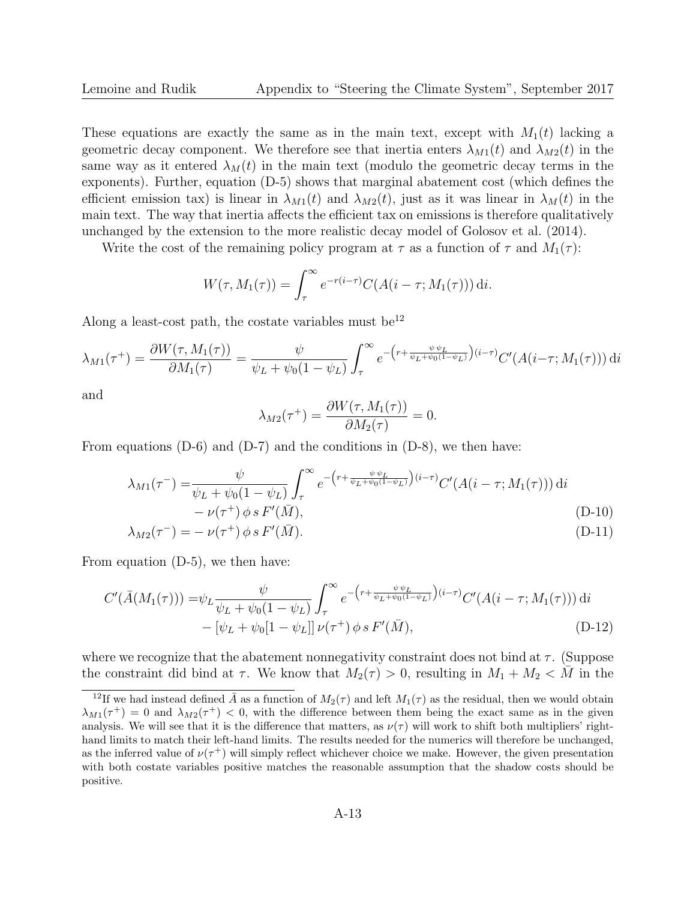These equations are exactly the same as in the main text, except with  $M_1(t)$  lacking a geometric decay component. We therefore see that inertia enters  $\lambda_{M1}(t)$  and  $\lambda_{M2}(t)$  in the same way as it entered  $\lambda_M(t)$  in the main text (modulo the geometric decay terms in the exponents). Further, equation (D-5) shows that marginal abatement cost (which defines the efficient emission tax) is linear in  $\lambda_{M1}(t)$  and  $\lambda_{M2}(t)$ , just as it was linear in  $\lambda_M(t)$  in the main text. The way that inertia affects the efficient tax on emissions is therefore qualitatively unchanged by the extension to the more realistic decay model of Golosov et al. (2014).

Write the cost of the remaining policy program at  $\tau$  as a function of  $\tau$  and  $M_1(\tau)$ :

$$
W(\tau, M_1(\tau)) = \int_{\tau}^{\infty} e^{-r(i-\tau)} C(A(i-\tau; M_1(\tau))) dt.
$$

Along a least-cost path, the costate variables must be<sup>12</sup>

$$
\lambda_{M1}(\tau^{+}) = \frac{\partial W(\tau, M_{1}(\tau))}{\partial M_{1}(\tau)} = \frac{\psi}{\psi_{L} + \psi_{0}(1 - \psi_{L})} \int_{\tau}^{\infty} e^{-\left(r + \frac{\psi \psi_{L}}{\psi_{L} + \psi_{0}(1 - \psi_{L})}\right)(i - \tau)} C'(A(i - \tau; M_{1}(\tau))) \, \mathrm{d}i
$$

and

$$
\lambda_{M2}(\tau^+) = \frac{\partial W(\tau, M_1(\tau))}{\partial M_2(\tau)} = 0.
$$

From equations  $(D-6)$  and  $(D-7)$  and the conditions in  $(D-8)$ , we then have:

$$
\lambda_{M1}(\tau^{-}) = \frac{\psi}{\psi_L + \psi_0(1 - \psi_L)} \int_{\tau}^{\infty} e^{-\left(r + \frac{\psi \psi_L}{\psi_L + \psi_0(1 - \psi_L)}\right)(i - \tau)} C'(A(i - \tau; M_1(\tau))) dt
$$
  
-  $\nu(\tau^{+}) \phi s F'(\bar{M}),$  (D-10)

$$
\lambda_{M2}(\tau^-) = -\nu(\tau^+) \phi s F'(\bar{M}). \tag{D-11}
$$

From equation (D-5), we then have:

$$
C'(\bar{A}(M_1(\tau))) = \psi_L \frac{\psi}{\psi_L + \psi_0(1 - \psi_L)} \int_{\tau}^{\infty} e^{-\left(r + \frac{\psi \psi_L}{\psi_L + \psi_0(1 - \psi_L)}\right)(i - \tau)} C'(A(i - \tau; M_1(\tau))) dt
$$
  
-  $[\psi_L + \psi_0[1 - \psi_L]] \nu(\tau^+) \phi s F'(\bar{M}),$  (D-12)

where we recognize that the abatement nonnegativity constraint does not bind at  $\tau$ . (Suppose the constraint did bind at  $\tau$ . We know that  $M_2(\tau) > 0$ , resulting in  $M_1 + M_2 < M$  in the

<sup>&</sup>lt;sup>12</sup>If we had instead defined  $\bar{A}$  as a function of  $M_2(\tau)$  and left  $M_1(\tau)$  as the residual, then we would obtain  $\lambda_{M1}(\tau^+) = 0$  and  $\lambda_{M2}(\tau^+) < 0$ , with the difference between them being the exact same as in the given analysis. We will see that it is the difference that matters, as  $\nu(\tau)$  will work to shift both multipliers' righthand limits to match their left-hand limits. The results needed for the numerics will therefore be unchanged, as the inferred value of  $\nu(\tau^+)$  will simply reflect whichever choice we make. However, the given presentation with both costate variables positive matches the reasonable assumption that the shadow costs should be positive.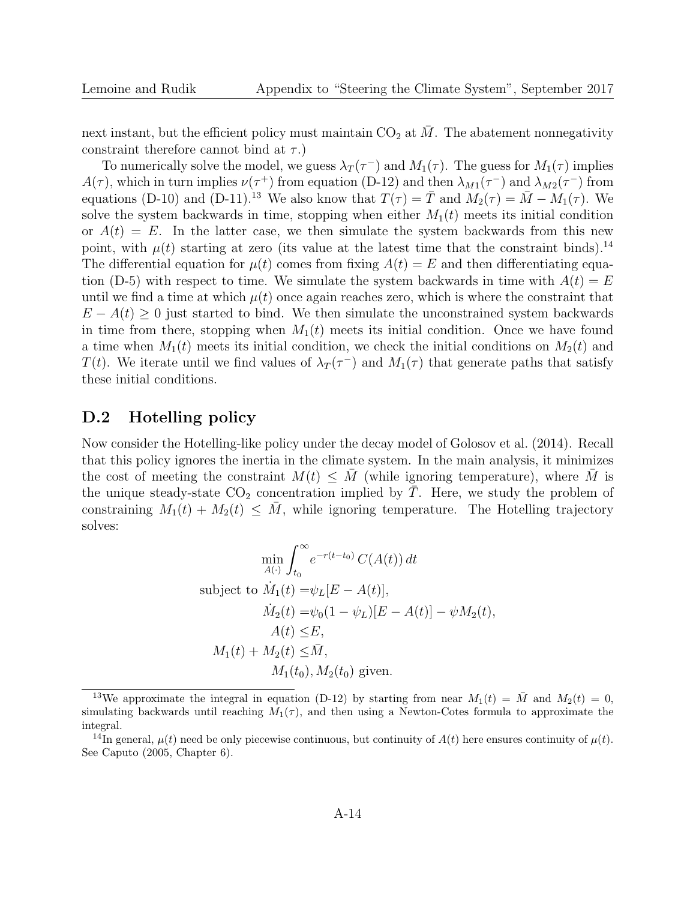next instant, but the efficient policy must maintain  $CO<sub>2</sub>$  at  $\overline{M}$ . The abatement nonnegativity constraint therefore cannot bind at  $\tau$ .)

To numerically solve the model, we guess  $\lambda_T(\tau^-)$  and  $M_1(\tau)$ . The guess for  $M_1(\tau)$  implies  $A(\tau)$ , which in turn implies  $\nu(\tau^+)$  from equation (D-12) and then  $\lambda_{M1}(\tau^-)$  and  $\lambda_{M2}(\tau^-)$  from equations (D-10) and (D-11).<sup>13</sup> We also know that  $T(\tau) = \overline{T}$  and  $M_2(\tau) = \overline{M} - M_1(\tau)$ . We solve the system backwards in time, stopping when either  $M_1(t)$  meets its initial condition or  $A(t) = E$ . In the latter case, we then simulate the system backwards from this new point, with  $\mu(t)$  starting at zero (its value at the latest time that the constraint binds).<sup>14</sup> The differential equation for  $\mu(t)$  comes from fixing  $A(t) = E$  and then differentiating equation (D-5) with respect to time. We simulate the system backwards in time with  $A(t) = E$ until we find a time at which  $\mu(t)$  once again reaches zero, which is where the constraint that  $E - A(t) \geq 0$  just started to bind. We then simulate the unconstrained system backwards in time from there, stopping when  $M_1(t)$  meets its initial condition. Once we have found a time when  $M_1(t)$  meets its initial condition, we check the initial conditions on  $M_2(t)$  and T(t). We iterate until we find values of  $\lambda_T(\tau^-)$  and  $M_1(\tau)$  that generate paths that satisfy these initial conditions.

### D.2 Hotelling policy

Now consider the Hotelling-like policy under the decay model of Golosov et al. (2014). Recall that this policy ignores the inertia in the climate system. In the main analysis, it minimizes the cost of meeting the constraint  $M(t) \leq M$  (while ignoring temperature), where M is the unique steady-state  $CO_2$  concentration implied by T. Here, we study the problem of constraining  $M_1(t) + M_2(t) \leq \overline{M}$ , while ignoring temperature. The Hotelling trajectory solves:

$$
\min_{A(\cdot)} \int_{t_0}^{\infty} e^{-r(t-t_0)} C(A(t)) dt
$$
\nsubject to  $\dot{M}_1(t) = \psi_L[E - A(t)],$   
\n
$$
\dot{M}_2(t) = \psi_0(1 - \psi_L)[E - A(t)] - \psi M_2(t),
$$
\n
$$
A(t) \leq E,
$$
\n
$$
M_1(t) + M_2(t) \leq \bar{M},
$$
\n
$$
M_1(t_0), M_2(t_0) \text{ given.}
$$

<sup>&</sup>lt;sup>13</sup>We approximate the integral in equation (D-12) by starting from near  $M_1(t) = \overline{M}$  and  $M_2(t) = 0$ , simulating backwards until reaching  $M_1(\tau)$ , and then using a Newton-Cotes formula to approximate the integral.

<sup>&</sup>lt;sup>14</sup>In general,  $\mu(t)$  need be only piecewise continuous, but continuity of  $A(t)$  here ensures continuity of  $\mu(t)$ . See Caputo (2005, Chapter 6).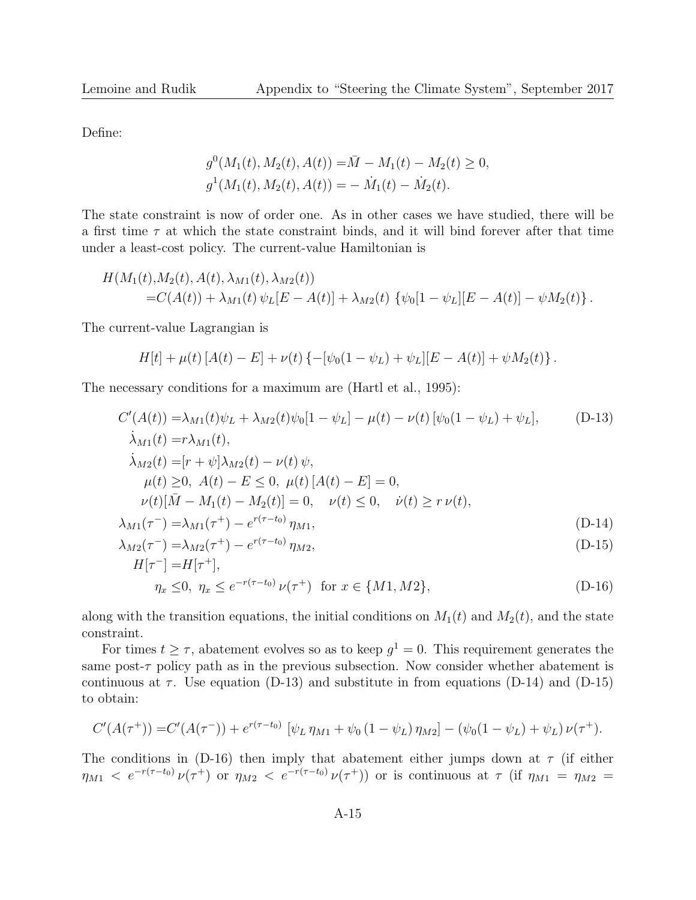Define:

$$
g^{0}(M_{1}(t), M_{2}(t), A(t)) = \overline{M} - M_{1}(t) - M_{2}(t) \ge 0,
$$
  

$$
g^{1}(M_{1}(t), M_{2}(t), A(t)) = -\dot{M}_{1}(t) - \dot{M}_{2}(t).
$$

The state constraint is now of order one. As in other cases we have studied, there will be a first time  $\tau$  at which the state constraint binds, and it will bind forever after that time under a least-cost policy. The current-value Hamiltonian is

$$
H(M_1(t),M_2(t),A(t),\lambda_{M1}(t),\lambda_{M2}(t))
$$
  
= $C(A(t)) + \lambda_{M1}(t) \psi_L[E - A(t)] + \lambda_{M2}(t) \{\psi_0[1 - \psi_L][E - A(t)] - \psi M_2(t)\}.$ 

The current-value Lagrangian is

$$
H[t] + \mu(t) [A(t) - E] + \nu(t) \{-[\psi_0(1 - \psi_L) + \psi_L][E - A(t)] + \psi M_2(t)\}.
$$

The necessary conditions for a maximum are (Hartl et al., 1995):

$$
C'(A(t)) = \lambda_{M1}(t)\psi_L + \lambda_{M2}(t)\psi_0[1 - \psi_L] - \mu(t) - \nu(t)[\psi_0(1 - \psi_L) + \psi_L],
$$
 (D-13)  
\n
$$
\lambda_{M1}(t) = r\lambda_{M1}(t),
$$
  
\n
$$
\lambda_{M2}(t) = [r + \psi]\lambda_{M2}(t) - \nu(t)\psi,
$$
  
\n
$$
\mu(t) \ge 0, A(t) - E \le 0, \mu(t)[A(t) - E] = 0,
$$
  
\n
$$
\nu(t)[\bar{M} - M_1(t) - M_2(t)] = 0, \quad \nu(t) \le 0, \quad \dot{\nu}(t) \ge r \nu(t),
$$
  
\n
$$
\lambda_{M1}(\tau^{-}) = \lambda_{M1}(\tau^{+}) - e^{r(\tau - t_0)} \eta_{M1},
$$
  
\n
$$
\lambda_{M2}(\tau^{-}) = \lambda_{M2}(\tau^{+}) - e^{r(\tau - t_0)} \eta_{M2},
$$
  
\n
$$
H[\tau^{-}] = H[\tau^{+}],
$$
 (D-15)

$$
\eta_x \le 0, \ \eta_x \le e^{-r(\tau - t_0)} \nu(\tau^+) \ \text{ for } x \in \{M1, M2\},\tag{D-16}
$$

along with the transition equations, the initial conditions on  $M_1(t)$  and  $M_2(t)$ , and the state constraint.

For times  $t \geq \tau$ , abatement evolves so as to keep  $g^1 = 0$ . This requirement generates the same post- $\tau$  policy path as in the previous subsection. Now consider whether abatement is continuous at  $\tau$ . Use equation (D-13) and substitute in from equations (D-14) and (D-15) to obtain:

$$
C'(A(\tau^+)) = C'(A(\tau^-)) + e^{r(\tau - t_0)} [\psi_L \eta_{M1} + \psi_0 (1 - \psi_L) \eta_{M2}] - (\psi_0 (1 - \psi_L) + \psi_L) \nu(\tau^+).
$$

The conditions in (D-16) then imply that abatement either jumps down at  $\tau$  (if either  $\eta_{M1}$  <  $e^{-r(\tau-t_0)}\nu(\tau^+)$  or  $\eta_{M2}$  <  $e^{-r(\tau-t_0)}\nu(\tau^+)$  or is continuous at  $\tau$  (if  $\eta_{M1} = \eta_{M2} =$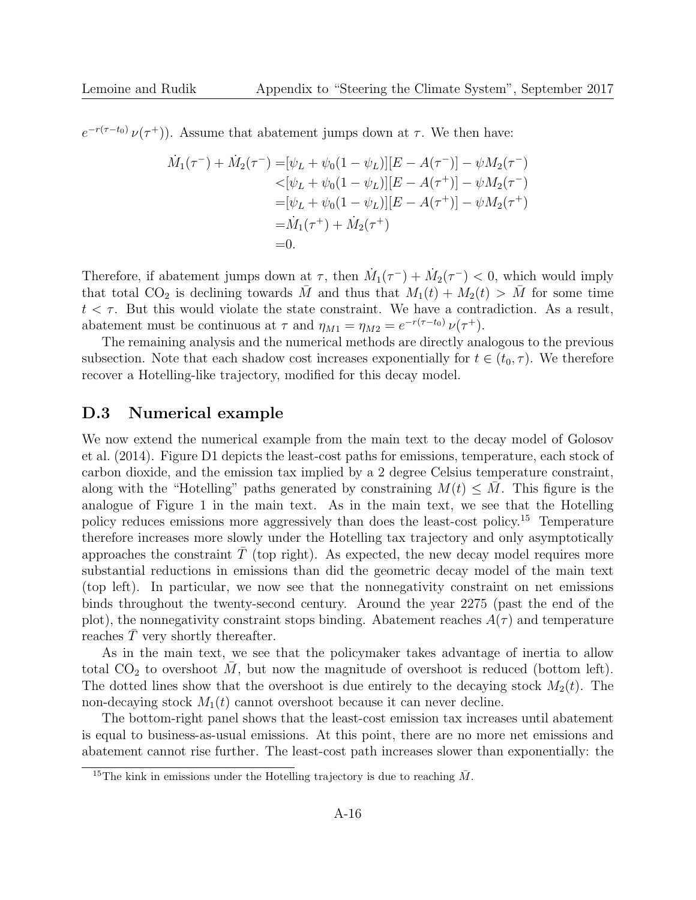$e^{-r(\tau-t_0)}\nu(\tau^+)$ . Assume that abatement jumps down at  $\tau$ . We then have:

$$
\dot{M}_1(\tau^-) + \dot{M}_2(\tau^-) = [\psi_L + \psi_0(1 - \psi_L)][E - A(\tau^-)] - \psi M_2(\tau^-)
$$
\n
$$
< [\psi_L + \psi_0(1 - \psi_L)][E - A(\tau^+)] - \psi M_2(\tau^-)
$$
\n
$$
= [\psi_L + \psi_0(1 - \psi_L)][E - A(\tau^+)] - \psi M_2(\tau^+)
$$
\n
$$
= \dot{M}_1(\tau^+) + \dot{M}_2(\tau^+)
$$
\n
$$
= 0.
$$

Therefore, if abatement jumps down at  $\tau$ , then  $\dot{M}_1(\tau^-) + \dot{M}_2(\tau^-) < 0$ , which would imply that total CO<sub>2</sub> is declining towards  $\overline{M}$  and thus that  $M_1(t) + M_2(t) > \overline{M}$  for some time  $t < \tau$ . But this would violate the state constraint. We have a contradiction. As a result, abatement must be continuous at  $\tau$  and  $\eta_{M1} = \eta_{M2} = e^{-r(\tau - t_0)} \nu(\tau^+).$ 

The remaining analysis and the numerical methods are directly analogous to the previous subsection. Note that each shadow cost increases exponentially for  $t \in (t_0, \tau)$ . We therefore recover a Hotelling-like trajectory, modified for this decay model.

#### D.3 Numerical example

We now extend the numerical example from the main text to the decay model of Golosov et al. (2014). Figure D1 depicts the least-cost paths for emissions, temperature, each stock of carbon dioxide, and the emission tax implied by a 2 degree Celsius temperature constraint, along with the "Hotelling" paths generated by constraining  $M(t) \leq M$ . This figure is the analogue of Figure 1 in the main text. As in the main text, we see that the Hotelling policy reduces emissions more aggressively than does the least-cost policy.<sup>15</sup> Temperature therefore increases more slowly under the Hotelling tax trajectory and only asymptotically approaches the constraint  $T^{\text{}}$  (top right). As expected, the new decay model requires more substantial reductions in emissions than did the geometric decay model of the main text (top left). In particular, we now see that the nonnegativity constraint on net emissions binds throughout the twenty-second century. Around the year 2275 (past the end of the plot), the nonnegativity constraint stops binding. Abatement reaches  $A(\tau)$  and temperature reaches  $\overline{T}$  very shortly thereafter.

As in the main text, we see that the policymaker takes advantage of inertia to allow total  $CO<sub>2</sub>$  to overshoot M, but now the magnitude of overshoot is reduced (bottom left). The dotted lines show that the overshoot is due entirely to the decaying stock  $M_2(t)$ . The non-decaying stock  $M_1(t)$  cannot overshoot because it can never decline.

The bottom-right panel shows that the least-cost emission tax increases until abatement is equal to business-as-usual emissions. At this point, there are no more net emissions and abatement cannot rise further. The least-cost path increases slower than exponentially: the

<sup>&</sup>lt;sup>15</sup>The kink in emissions under the Hotelling trajectory is due to reaching  $\overline{M}$ .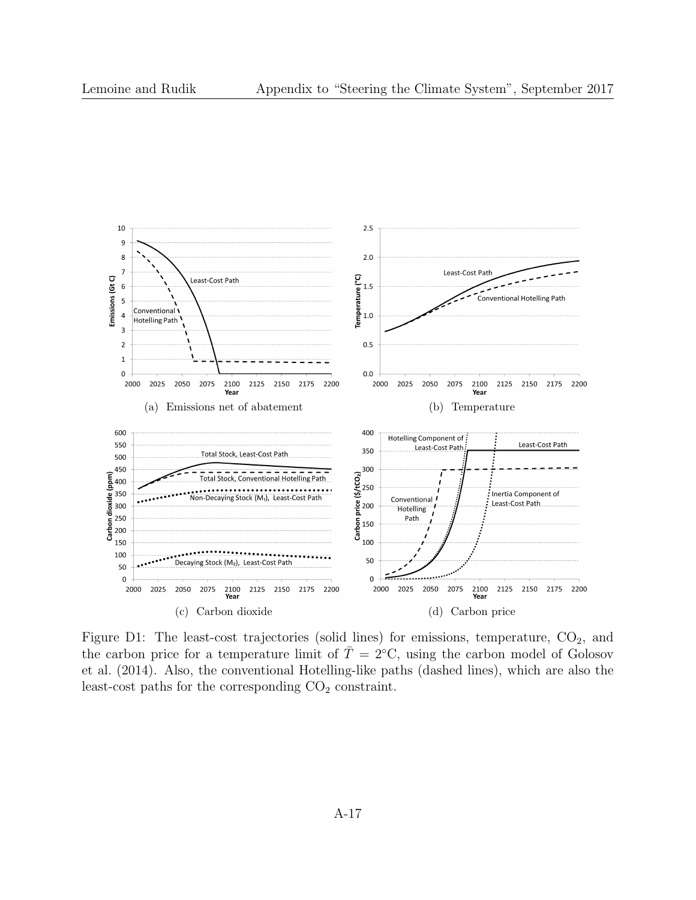

Figure D1: The least-cost trajectories (solid lines) for emissions, temperature,  $CO_2$ , and the carbon price for a temperature limit of  $\overline{T} = 2$ °C, using the carbon model of Golosov et al. (2014). Also, the conventional Hotelling-like paths (dashed lines), which are also the least-cost paths for the corresponding  $CO<sub>2</sub>$  constraint.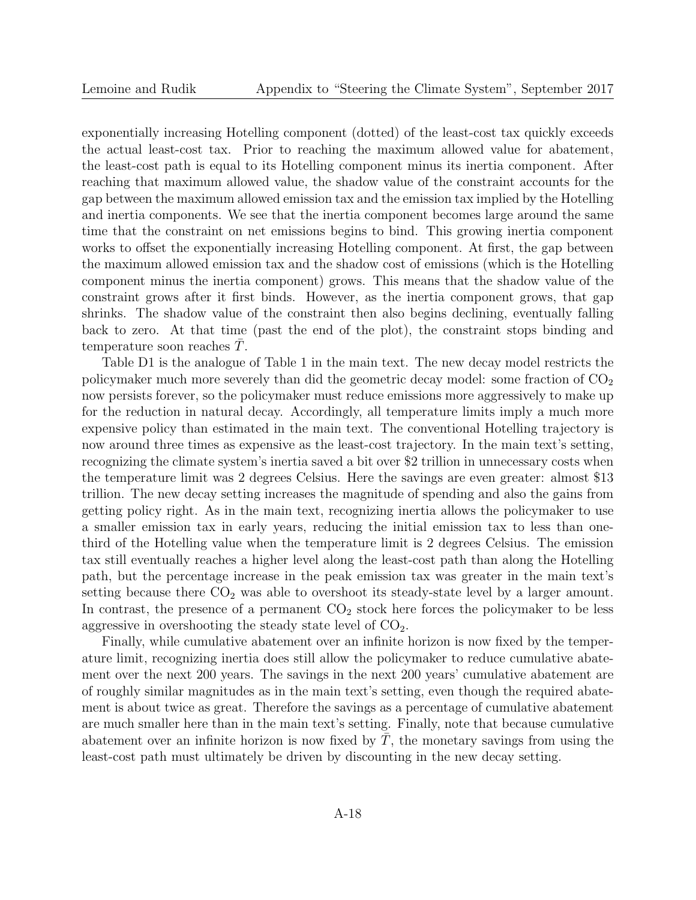exponentially increasing Hotelling component (dotted) of the least-cost tax quickly exceeds the actual least-cost tax. Prior to reaching the maximum allowed value for abatement, the least-cost path is equal to its Hotelling component minus its inertia component. After reaching that maximum allowed value, the shadow value of the constraint accounts for the gap between the maximum allowed emission tax and the emission tax implied by the Hotelling and inertia components. We see that the inertia component becomes large around the same time that the constraint on net emissions begins to bind. This growing inertia component works to offset the exponentially increasing Hotelling component. At first, the gap between the maximum allowed emission tax and the shadow cost of emissions (which is the Hotelling component minus the inertia component) grows. This means that the shadow value of the constraint grows after it first binds. However, as the inertia component grows, that gap shrinks. The shadow value of the constraint then also begins declining, eventually falling back to zero. At that time (past the end of the plot), the constraint stops binding and temperature soon reaches  $T$ .

Table D1 is the analogue of Table 1 in the main text. The new decay model restricts the policymaker much more severely than did the geometric decay model: some fraction of  $CO<sub>2</sub>$ now persists forever, so the policymaker must reduce emissions more aggressively to make up for the reduction in natural decay. Accordingly, all temperature limits imply a much more expensive policy than estimated in the main text. The conventional Hotelling trajectory is now around three times as expensive as the least-cost trajectory. In the main text's setting, recognizing the climate system's inertia saved a bit over \$2 trillion in unnecessary costs when the temperature limit was 2 degrees Celsius. Here the savings are even greater: almost \$13 trillion. The new decay setting increases the magnitude of spending and also the gains from getting policy right. As in the main text, recognizing inertia allows the policymaker to use a smaller emission tax in early years, reducing the initial emission tax to less than onethird of the Hotelling value when the temperature limit is 2 degrees Celsius. The emission tax still eventually reaches a higher level along the least-cost path than along the Hotelling path, but the percentage increase in the peak emission tax was greater in the main text's setting because there  $CO<sub>2</sub>$  was able to overshoot its steady-state level by a larger amount. In contrast, the presence of a permanent  $CO<sub>2</sub>$  stock here forces the policymaker to be less aggressive in overshooting the steady state level of  $CO<sub>2</sub>$ .

Finally, while cumulative abatement over an infinite horizon is now fixed by the temperature limit, recognizing inertia does still allow the policymaker to reduce cumulative abatement over the next 200 years. The savings in the next 200 years' cumulative abatement are of roughly similar magnitudes as in the main text's setting, even though the required abatement is about twice as great. Therefore the savings as a percentage of cumulative abatement are much smaller here than in the main text's setting. Finally, note that because cumulative abatement over an infinite horizon is now fixed by  $T$ , the monetary savings from using the least-cost path must ultimately be driven by discounting in the new decay setting.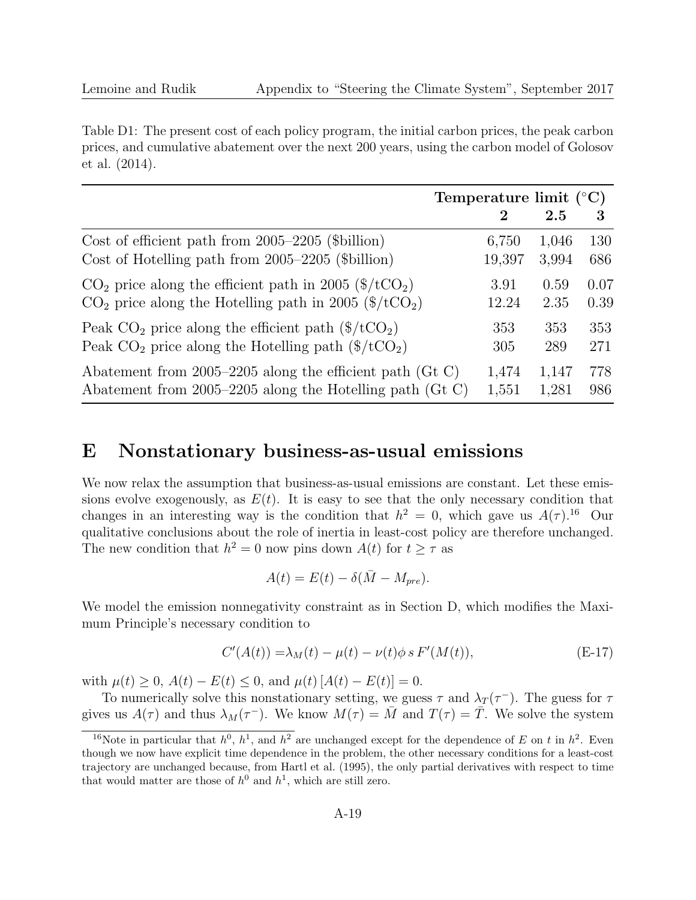Table D1: The present cost of each policy program, the initial carbon prices, the peak carbon prices, and cumulative abatement over the next 200 years, using the carbon model of Golosov et al. (2014).

|                                                                            |        | Temperature limit $({}^{\circ}C)$ |      |  |
|----------------------------------------------------------------------------|--------|-----------------------------------|------|--|
|                                                                            | 2      | 2.5                               | 3    |  |
| Cost of efficient path from $2005-2205$ (\$billion)                        | 6,750  | 1,046                             | 130  |  |
| Cost of Hotelling path from 2005–2205 (\$billion)                          | 19,397 | 3,994                             | 686  |  |
| $CO2$ price along the efficient path in 2005 (\$/tCO <sub>2</sub> )        | 3.91   | 0.59                              | 0.07 |  |
| $CO2$ price along the Hotelling path in 2005 (\$/tCO <sub>2</sub> )        | 12.24  | 2.35                              | 0.39 |  |
| Peak $CO_2$ price along the efficient path $(\frac{4}{\text{C}})$          | 353    | 353                               | 353  |  |
| Peak $CO_2$ price along the Hotelling path ( $\frac{\sqrt{2}}{\sqrt{2}}$ ) | 305    | 289                               | 271  |  |
| Abatement from 2005–2205 along the efficient path (Gt C)                   | 1,474  | 1,147                             | 778  |  |
| Abatement from 2005–2205 along the Hotelling path (Gt C)                   | 1,551  | 1,281                             | 986  |  |

### E Nonstationary business-as-usual emissions

We now relax the assumption that business-as-usual emissions are constant. Let these emissions evolve exogenously, as  $E(t)$ . It is easy to see that the only necessary condition that changes in an interesting way is the condition that  $h^2 = 0$ , which gave us  $A(\tau)$ .<sup>16</sup> Our qualitative conclusions about the role of inertia in least-cost policy are therefore unchanged. The new condition that  $h^2 = 0$  now pins down  $A(t)$  for  $t \geq \tau$  as

$$
A(t) = E(t) - \delta(\bar{M} - M_{pre}).
$$

We model the emission nonnegativity constraint as in Section D, which modifies the Maximum Principle's necessary condition to

$$
C'(A(t)) = \lambda_M(t) - \mu(t) - \nu(t)\phi \, s \, F'(M(t)), \tag{E-17}
$$

with  $\mu(t) \geq 0$ ,  $A(t) - E(t) \leq 0$ , and  $\mu(t) [A(t) - E(t)] = 0$ .

To numerically solve this nonstationary setting, we guess  $\tau$  and  $\lambda_T(\tau^-)$ . The guess for  $\tau$ gives us  $A(\tau)$  and thus  $\lambda_M(\tau^-)$ . We know  $M(\tau) = \overline{M}$  and  $T(\tau) = \overline{T}$ . We solve the system

<sup>&</sup>lt;sup>16</sup>Note in particular that  $h^0$ ,  $h^1$ , and  $h^2$  are unchanged except for the dependence of E on t in  $h^2$ . Even though we now have explicit time dependence in the problem, the other necessary conditions for a least-cost trajectory are unchanged because, from Hartl et al. (1995), the only partial derivatives with respect to time that would matter are those of  $h^0$  and  $h^1$ , which are still zero.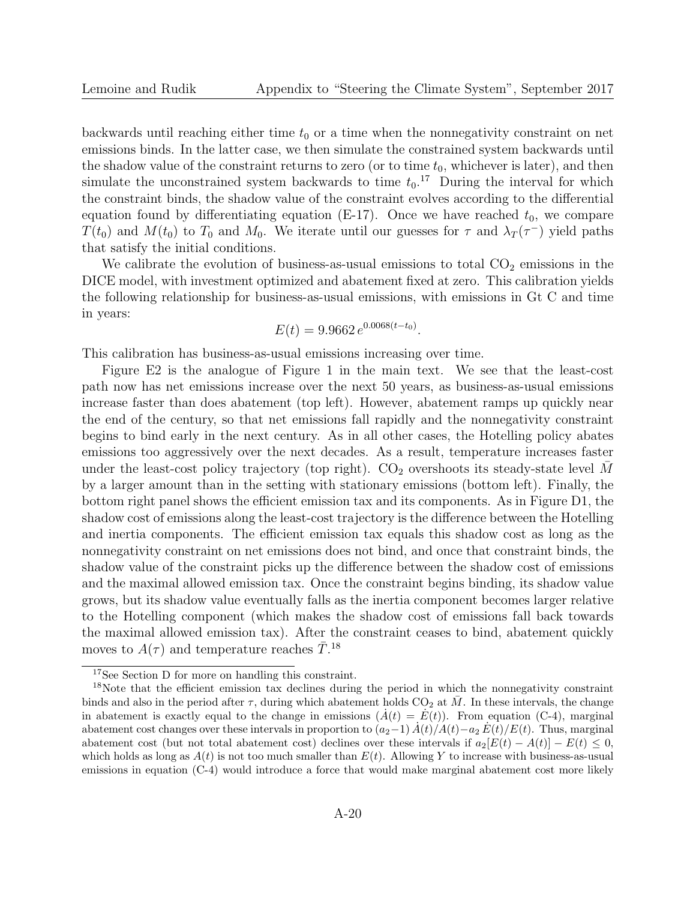backwards until reaching either time  $t_0$  or a time when the nonnegativity constraint on net emissions binds. In the latter case, we then simulate the constrained system backwards until the shadow value of the constraint returns to zero (or to time  $t_0$ , whichever is later), and then simulate the unconstrained system backwards to time  $t_0$ .<sup>17</sup> During the interval for which the constraint binds, the shadow value of the constraint evolves according to the differential equation found by differentiating equation (E-17). Once we have reached  $t_0$ , we compare  $T(t_0)$  and  $M(t_0)$  to  $T_0$  and  $M_0$ . We iterate until our guesses for  $\tau$  and  $\lambda_T(\tau^-)$  yield paths that satisfy the initial conditions.

We calibrate the evolution of business-as-usual emissions to total  $CO<sub>2</sub>$  emissions in the DICE model, with investment optimized and abatement fixed at zero. This calibration yields the following relationship for business-as-usual emissions, with emissions in Gt C and time in years:

$$
E(t) = 9.9662 e^{0.0068(t - t_0)}.
$$

This calibration has business-as-usual emissions increasing over time.

Figure E2 is the analogue of Figure 1 in the main text. We see that the least-cost path now has net emissions increase over the next 50 years, as business-as-usual emissions increase faster than does abatement (top left). However, abatement ramps up quickly near the end of the century, so that net emissions fall rapidly and the nonnegativity constraint begins to bind early in the next century. As in all other cases, the Hotelling policy abates emissions too aggressively over the next decades. As a result, temperature increases faster under the least-cost policy trajectory (top right).  $CO<sub>2</sub>$  overshoots its steady-state level M by a larger amount than in the setting with stationary emissions (bottom left). Finally, the bottom right panel shows the efficient emission tax and its components. As in Figure D1, the shadow cost of emissions along the least-cost trajectory is the difference between the Hotelling and inertia components. The efficient emission tax equals this shadow cost as long as the nonnegativity constraint on net emissions does not bind, and once that constraint binds, the shadow value of the constraint picks up the difference between the shadow cost of emissions and the maximal allowed emission tax. Once the constraint begins binding, its shadow value grows, but its shadow value eventually falls as the inertia component becomes larger relative to the Hotelling component (which makes the shadow cost of emissions fall back towards the maximal allowed emission tax). After the constraint ceases to bind, abatement quickly moves to  $A(\tau)$  and temperature reaches  $\bar{T}$ .<sup>18</sup>

<sup>17</sup>See Section D for more on handling this constraint.

<sup>&</sup>lt;sup>18</sup>Note that the efficient emission tax declines during the period in which the nonnegativity constraint binds and also in the period after  $\tau$ , during which abatement holds CO<sub>2</sub> at  $\overline{M}$ . In these intervals, the change in abatement is exactly equal to the change in emissions  $(A(t) = \dot{E}(t))$ . From equation (C-4), marginal abatement cost changes over these intervals in proportion to  $(a_2-1) A(t)/A(t)-a_2 E(t)/E(t)$ . Thus, marginal abatement cost (but not total abatement cost) declines over these intervals if  $a_2[E(t) - A(t)] - E(t) \leq 0$ , which holds as long as  $A(t)$  is not too much smaller than  $E(t)$ . Allowing Y to increase with business-as-usual emissions in equation (C-4) would introduce a force that would make marginal abatement cost more likely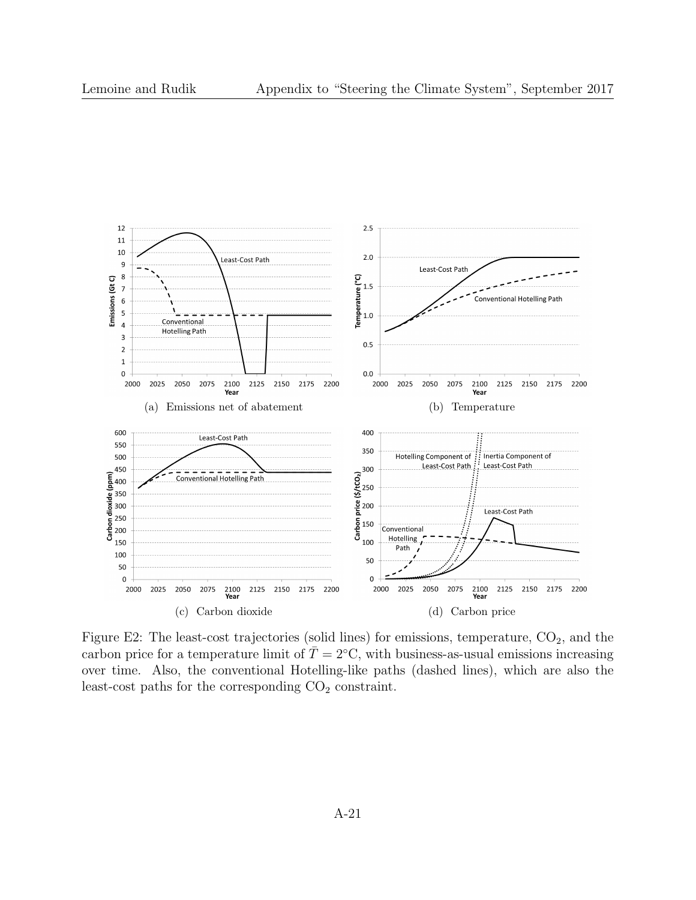

Figure E2: The least-cost trajectories (solid lines) for emissions, temperature,  $CO_2$ , and the carbon price for a temperature limit of  $\overline{T} = 2$ °C, with business-as-usual emissions increasing over time. Also, the conventional Hotelling-like paths (dashed lines), which are also the least-cost paths for the corresponding  $CO<sub>2</sub>$  constraint.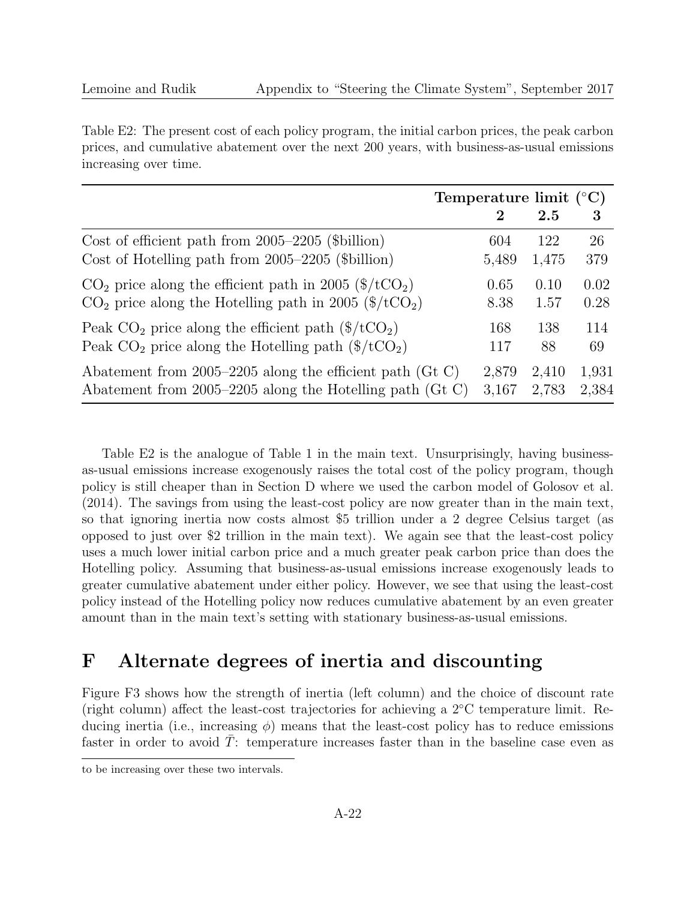Table E2: The present cost of each policy program, the initial carbon prices, the peak carbon prices, and cumulative abatement over the next 200 years, with business-as-usual emissions increasing over time.

|                                                                           |          | Temperature limit $({}^{\circ}C)$ |       |  |
|---------------------------------------------------------------------------|----------|-----------------------------------|-------|--|
|                                                                           | $\bf{2}$ | 2.5                               | 3     |  |
| Cost of efficient path from 2005–2205 (\$billion)                         | 604      | 122                               | 26    |  |
| Cost of Hotelling path from 2005–2205 (\$billion)                         | 5,489    | 1,475                             | 379   |  |
| $CO2$ price along the efficient path in 2005 (\$/tCO <sub>2</sub> )       | 0.65     | 0.10                              | 0.02  |  |
| $CO2$ price along the Hotelling path in 2005 (\$/tCO <sub>2</sub> )       | 8.38     | 1.57                              | 0.28  |  |
| Peak $CO_2$ price along the efficient path $(\$/tCO_2)$                   | 168      | 138                               | 114   |  |
| Peak $CO_2$ price along the Hotelling path $(\frac{4}{\text{C}})\text{C}$ | 117      | 88                                | 69    |  |
| Abatement from 2005–2205 along the efficient path (Gt C)                  | 2,879    | 2,410                             | 1,931 |  |
| Abatement from 2005–2205 along the Hotelling path (Gt C)                  | 3,167    | 2,783                             | 2,384 |  |

Table E2 is the analogue of Table 1 in the main text. Unsurprisingly, having businessas-usual emissions increase exogenously raises the total cost of the policy program, though policy is still cheaper than in Section D where we used the carbon model of Golosov et al. (2014). The savings from using the least-cost policy are now greater than in the main text, so that ignoring inertia now costs almost \$5 trillion under a 2 degree Celsius target (as opposed to just over \$2 trillion in the main text). We again see that the least-cost policy uses a much lower initial carbon price and a much greater peak carbon price than does the Hotelling policy. Assuming that business-as-usual emissions increase exogenously leads to greater cumulative abatement under either policy. However, we see that using the least-cost policy instead of the Hotelling policy now reduces cumulative abatement by an even greater amount than in the main text's setting with stationary business-as-usual emissions.

# F Alternate degrees of inertia and discounting

Figure F3 shows how the strength of inertia (left column) and the choice of discount rate (right column) affect the least-cost trajectories for achieving a 2◦C temperature limit. Reducing inertia (i.e., increasing  $\phi$ ) means that the least-cost policy has to reduce emissions faster in order to avoid  $T$ : temperature increases faster than in the baseline case even as

to be increasing over these two intervals.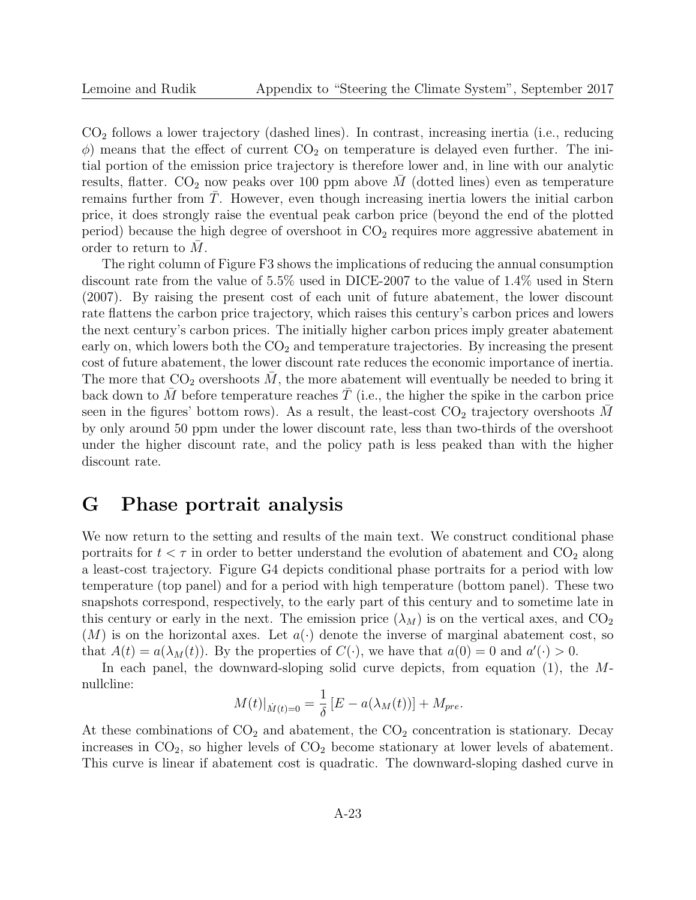$CO<sub>2</sub>$  follows a lower trajectory (dashed lines). In contrast, increasing inertia (i.e., reducing  $\phi$ ) means that the effect of current CO<sub>2</sub> on temperature is delayed even further. The initial portion of the emission price trajectory is therefore lower and, in line with our analytic results, flatter.  $CO_2$  now peaks over 100 ppm above  $\overline{M}$  (dotted lines) even as temperature remains further from  $T$ . However, even though increasing inertia lowers the initial carbon price, it does strongly raise the eventual peak carbon price (beyond the end of the plotted period) because the high degree of overshoot in  $CO<sub>2</sub>$  requires more aggressive abatement in order to return to  $M$ .

The right column of Figure F3 shows the implications of reducing the annual consumption discount rate from the value of 5.5% used in DICE-2007 to the value of 1.4% used in Stern (2007). By raising the present cost of each unit of future abatement, the lower discount rate flattens the carbon price trajectory, which raises this century's carbon prices and lowers the next century's carbon prices. The initially higher carbon prices imply greater abatement early on, which lowers both the  $CO<sub>2</sub>$  and temperature trajectories. By increasing the present cost of future abatement, the lower discount rate reduces the economic importance of inertia. The more that  $CO_2$  overshoots M, the more abatement will eventually be needed to bring it back down to  $\overline{M}$  before temperature reaches  $\overline{T}$  (i.e., the higher the spike in the carbon price seen in the figures' bottom rows). As a result, the least-cost  $CO<sub>2</sub>$  trajectory overshoots M by only around 50 ppm under the lower discount rate, less than two-thirds of the overshoot under the higher discount rate, and the policy path is less peaked than with the higher discount rate.

## G Phase portrait analysis

We now return to the setting and results of the main text. We construct conditional phase portraits for  $t < \tau$  in order to better understand the evolution of abatement and  $CO_2$  along a least-cost trajectory. Figure G4 depicts conditional phase portraits for a period with low temperature (top panel) and for a period with high temperature (bottom panel). These two snapshots correspond, respectively, to the early part of this century and to sometime late in this century or early in the next. The emission price  $(\lambda_M)$  is on the vertical axes, and  $CO_2$  $(M)$  is on the horizontal axes. Let  $a(\cdot)$  denote the inverse of marginal abatement cost, so that  $A(t) = a(\lambda_M(t))$ . By the properties of  $C(\cdot)$ , we have that  $a(0) = 0$  and  $a'(\cdot) > 0$ .

In each panel, the downward-sloping solid curve depicts, from equation (1), the Mnullcline:

$$
M(t)|_{\dot{M}(t)=0} = \frac{1}{\delta} [E - a(\lambda_M(t))] + M_{pre}.
$$

At these combinations of  $CO<sub>2</sub>$  and abatement, the  $CO<sub>2</sub>$  concentration is stationary. Decay increases in  $CO<sub>2</sub>$ , so higher levels of  $CO<sub>2</sub>$  become stationary at lower levels of abatement. This curve is linear if abatement cost is quadratic. The downward-sloping dashed curve in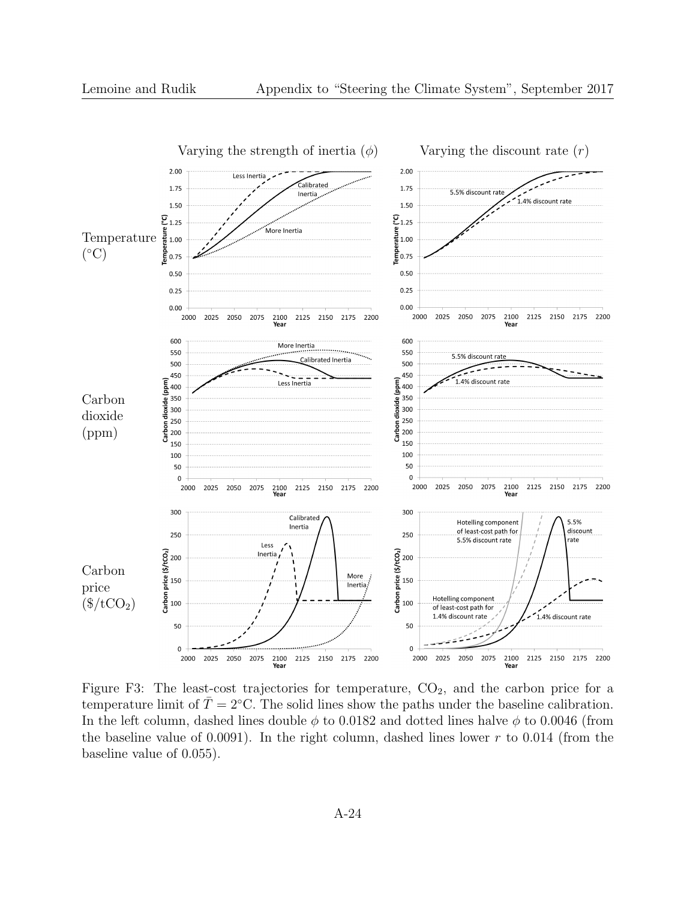

Figure F3: The least-cost trajectories for temperature,  $CO<sub>2</sub>$ , and the carbon price for a temperature limit of  $\overline{T} = 2$ °C. The solid lines show the paths under the baseline calibration. In the left column, dashed lines double  $\phi$  to 0.0182 and dotted lines halve  $\phi$  to 0.0046 (from the baseline value of 0.0091). In the right column, dashed lines lower  $r$  to 0.014 (from the baseline value of 0.055).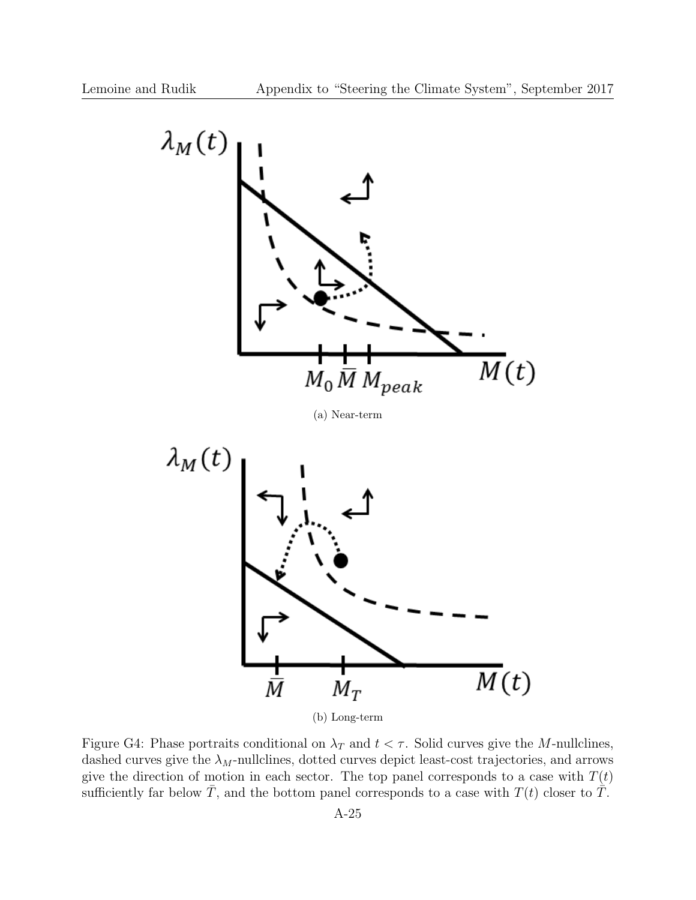

Figure G4: Phase portraits conditional on  $\lambda_T$  and  $t < \tau$ . Solid curves give the M-nullclines, dashed curves give the  $\lambda_M$ -nullclines, dotted curves depict least-cost trajectories, and arrows give the direction of motion in each sector. The top panel corresponds to a case with  $T(t)$ sufficiently far below  $\overline{T}$ , and the bottom panel corresponds to a case with  $T(t)$  closer to  $\overline{T}$ .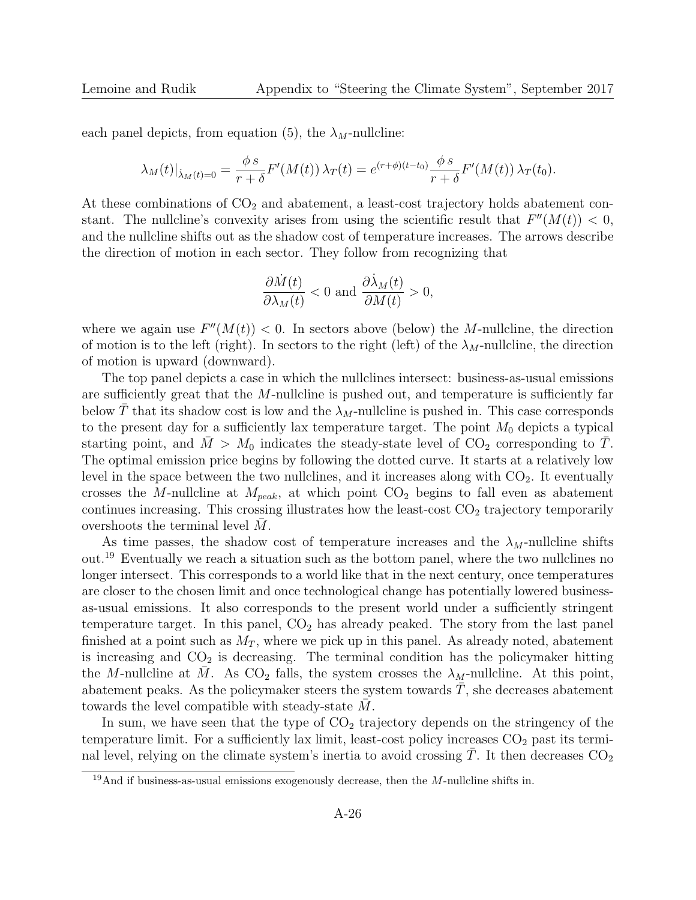each panel depicts, from equation (5), the  $\lambda_M$ -nullcline:

$$
\lambda_M(t)|_{\dot{\lambda}_M(t)=0} = \frac{\phi s}{r+\delta} F'(M(t)) \lambda_T(t) = e^{(r+\phi)(t-t_0)} \frac{\phi s}{r+\delta} F'(M(t)) \lambda_T(t_0).
$$

At these combinations of  $CO<sub>2</sub>$  and abatement, a least-cost trajectory holds abatement constant. The nullcline's convexity arises from using the scientific result that  $F''(M(t)) < 0$ , and the nullcline shifts out as the shadow cost of temperature increases. The arrows describe the direction of motion in each sector. They follow from recognizing that

$$
\frac{\partial \dot{M}(t)}{\partial \lambda_M(t)} < 0 \text{ and } \frac{\partial \dot{\lambda}_M(t)}{\partial M(t)} > 0,
$$

where we again use  $F''(M(t)) < 0$ . In sectors above (below) the M-nullcline, the direction of motion is to the left (right). In sectors to the right (left) of the  $\lambda_M$ -nullcline, the direction of motion is upward (downward).

The top panel depicts a case in which the nullclines intersect: business-as-usual emissions are sufficiently great that the  $M$ -nullcline is pushed out, and temperature is sufficiently far below T that its shadow cost is low and the  $\lambda_M$ -nullcline is pushed in. This case corresponds to the present day for a sufficiently lax temperature target. The point  $M_0$  depicts a typical starting point, and  $\bar{M} > M_0$  indicates the steady-state level of CO<sub>2</sub> corresponding to  $\bar{T}$ . The optimal emission price begins by following the dotted curve. It starts at a relatively low level in the space between the two nullclines, and it increases along with  $CO<sub>2</sub>$ . It eventually crosses the M-nullcline at  $M_{peak}$ , at which point  $CO<sub>2</sub>$  begins to fall even as abatement continues increasing. This crossing illustrates how the least-cost  $CO<sub>2</sub>$  trajectory temporarily overshoots the terminal level  $M$ .

As time passes, the shadow cost of temperature increases and the  $\lambda_M$ -nullcline shifts out.<sup>19</sup> Eventually we reach a situation such as the bottom panel, where the two nullclines no longer intersect. This corresponds to a world like that in the next century, once temperatures are closer to the chosen limit and once technological change has potentially lowered businessas-usual emissions. It also corresponds to the present world under a sufficiently stringent temperature target. In this panel,  $CO<sub>2</sub>$  has already peaked. The story from the last panel finished at a point such as  $M_T$ , where we pick up in this panel. As already noted, abatement is increasing and  $CO<sub>2</sub>$  is decreasing. The terminal condition has the policymaker hitting the M-nullcline at M. As  $CO_2$  falls, the system crosses the  $\lambda_M$ -nullcline. At this point, abatement peaks. As the policymaker steers the system towards  $T$ , she decreases abatement towards the level compatible with steady-state  $M$ .

In sum, we have seen that the type of  $CO<sub>2</sub>$  trajectory depends on the stringency of the temperature limit. For a sufficiently lax limit, least-cost policy increases  $CO<sub>2</sub>$  past its terminal level, relying on the climate system's inertia to avoid crossing  $T$ . It then decreases  $CO<sub>2</sub>$ 

 $19$ And if business-as-usual emissions exogenously decrease, then the M-nullcline shifts in.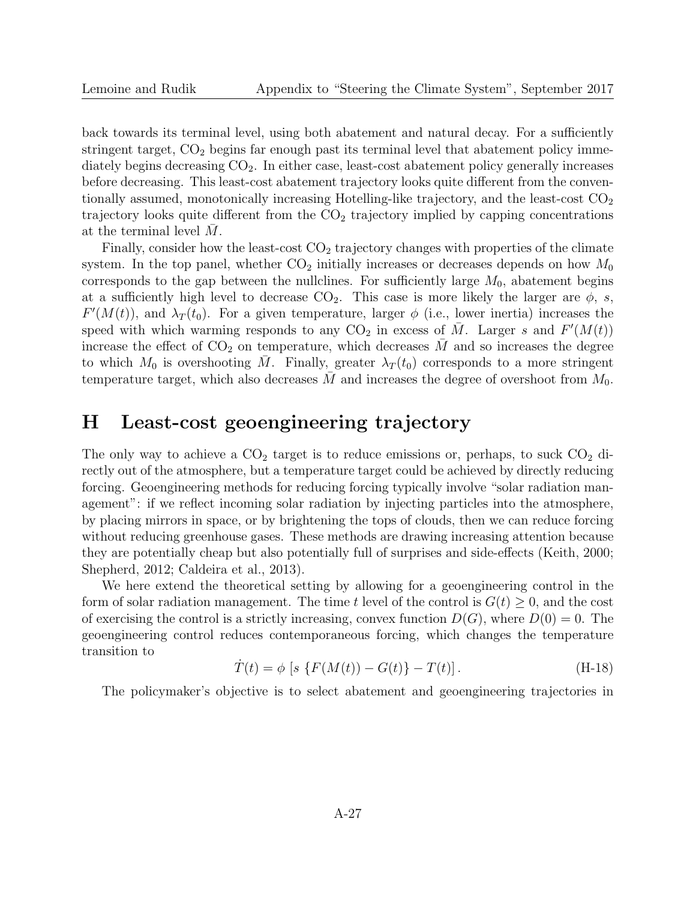back towards its terminal level, using both abatement and natural decay. For a sufficiently stringent target,  $CO<sub>2</sub>$  begins far enough past its terminal level that abatement policy immediately begins decreasing  $CO<sub>2</sub>$ . In either case, least-cost abatement policy generally increases before decreasing. This least-cost abatement trajectory looks quite different from the conventionally assumed, monotonically increasing Hotelling-like trajectory, and the least-cost  $CO<sub>2</sub>$ trajectory looks quite different from the  $CO<sub>2</sub>$  trajectory implied by capping concentrations at the terminal level  $M$ .

Finally, consider how the least-cost  $CO<sub>2</sub>$  trajectory changes with properties of the climate system. In the top panel, whether  $CO<sub>2</sub>$  initially increases or decreases depends on how  $M<sub>0</sub>$ corresponds to the gap between the nullclines. For sufficiently large  $M_0$ , abatement begins at a sufficiently high level to decrease  $CO_2$ . This case is more likely the larger are  $\phi$ , s,  $F'(M(t))$ , and  $\lambda_T(t_0)$ . For a given temperature, larger  $\phi$  (i.e., lower inertia) increases the speed with which warming responds to any  $CO<sub>2</sub>$  in excess of  $\overline{M}$ . Larger s and  $F'(M(t))$ increase the effect of  $CO<sub>2</sub>$  on temperature, which decreases M and so increases the degree to which  $M_0$  is overshooting M. Finally, greater  $\lambda_T(t_0)$  corresponds to a more stringent temperature target, which also decreases M and increases the degree of overshoot from  $M_0$ .

# H Least-cost geoengineering trajectory

The only way to achieve a  $CO<sub>2</sub>$  target is to reduce emissions or, perhaps, to suck  $CO<sub>2</sub>$  directly out of the atmosphere, but a temperature target could be achieved by directly reducing forcing. Geoengineering methods for reducing forcing typically involve "solar radiation management": if we reflect incoming solar radiation by injecting particles into the atmosphere, by placing mirrors in space, or by brightening the tops of clouds, then we can reduce forcing without reducing greenhouse gases. These methods are drawing increasing attention because they are potentially cheap but also potentially full of surprises and side-effects (Keith, 2000; Shepherd, 2012; Caldeira et al., 2013).

We here extend the theoretical setting by allowing for a geoengineering control in the form of solar radiation management. The time t level of the control is  $G(t) \geq 0$ , and the cost of exercising the control is a strictly increasing, convex function  $D(G)$ , where  $D(0) = 0$ . The geoengineering control reduces contemporaneous forcing, which changes the temperature transition to

$$
\dot{T}(t) = \phi \left[ s \left\{ F(M(t)) - G(t) \right\} - T(t) \right]. \tag{H-18}
$$

The policymaker's objective is to select abatement and geoengineering trajectories in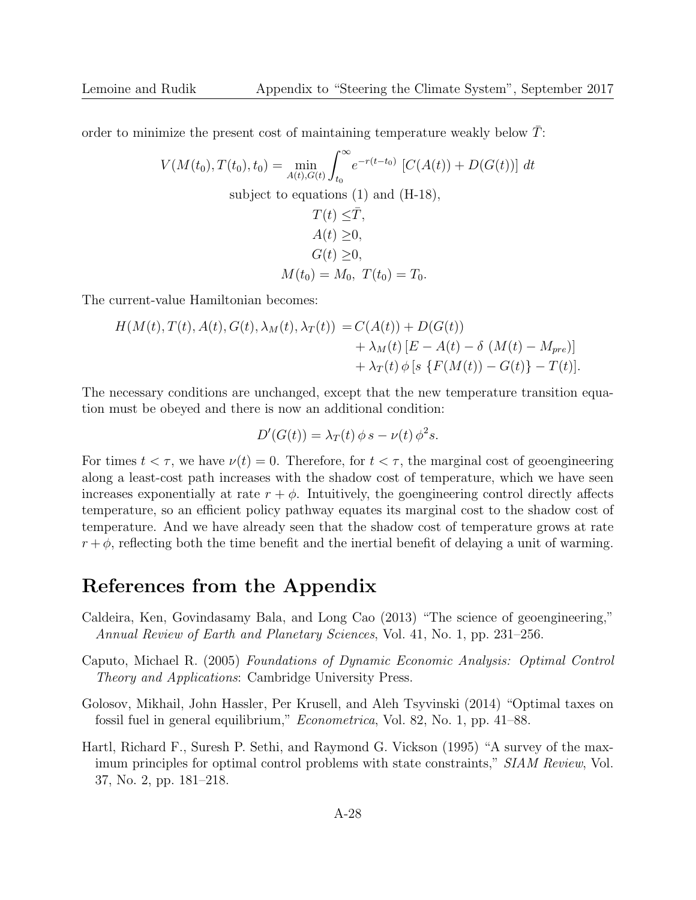order to minimize the present cost of maintaining temperature weakly below  $\overline{T}$ :

$$
V(M(t_0), T(t_0), t_0) = \min_{A(t), G(t)} \int_{t_0}^{\infty} e^{-r(t-t_0)} [C(A(t)) + D(G(t))] dt
$$
  
subject to equations (1) and (H-18),  

$$
T(t) \leq \bar{T},
$$

$$
A(t) \geq 0,
$$

$$
G(t) \geq 0,
$$

$$
M(t_0) = M_0, T(t_0) = T_0.
$$

The current-value Hamiltonian becomes:

$$
H(M(t), T(t), A(t), G(t), \lambda_M(t), \lambda_T(t)) = C(A(t)) + D(G(t)) + \lambda_M(t) [E - A(t) - \delta (M(t) - M_{pre})] + \lambda_T(t) \phi [s \{F(M(t)) - G(t)\} - T(t)].
$$

The necessary conditions are unchanged, except that the new temperature transition equation must be obeyed and there is now an additional condition:

$$
D'(G(t)) = \lambda_T(t) \phi s - \nu(t) \phi^2 s.
$$

For times  $t < \tau$ , we have  $\nu(t) = 0$ . Therefore, for  $t < \tau$ , the marginal cost of geoengineering along a least-cost path increases with the shadow cost of temperature, which we have seen increases exponentially at rate  $r + \phi$ . Intuitively, the goengineering control directly affects temperature, so an efficient policy pathway equates its marginal cost to the shadow cost of temperature. And we have already seen that the shadow cost of temperature grows at rate  $r + \phi$ , reflecting both the time benefit and the inertial benefit of delaying a unit of warming.

### References from the Appendix

- Caldeira, Ken, Govindasamy Bala, and Long Cao (2013) "The science of geoengineering," Annual Review of Earth and Planetary Sciences, Vol. 41, No. 1, pp. 231–256.
- Caputo, Michael R. (2005) Foundations of Dynamic Economic Analysis: Optimal Control Theory and Applications: Cambridge University Press.
- Golosov, Mikhail, John Hassler, Per Krusell, and Aleh Tsyvinski (2014) "Optimal taxes on fossil fuel in general equilibrium," Econometrica, Vol. 82, No. 1, pp. 41–88.
- Hartl, Richard F., Suresh P. Sethi, and Raymond G. Vickson (1995) "A survey of the maximum principles for optimal control problems with state constraints," SIAM Review, Vol. 37, No. 2, pp. 181–218.